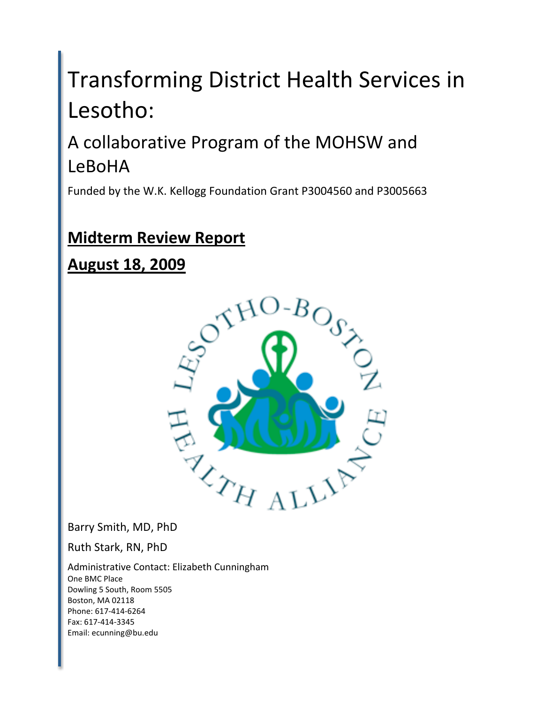# Transforming
District
Health
Services
in Lesotho:

# A
collaborative
Program
of
the
MOHSW
and LeBoHA

Funded
by
the
W.K.
Kellogg
Foundation
Grant
P3004560
and
P3005663

## **Midterm
Review
Report**

**August
18,
2009**



Barry
Smith,
MD,
PhD

Ruth
Stark,
RN,
PhD

Administrative
Contact:
Elizabeth
Cunningham One
BMC
Place Dowling
5
South,
Room
5505 Boston,
MA
02118 Phone:
617‐414‐6264 Fax:
617‐414‐3345 Email:
ecunning@bu.edu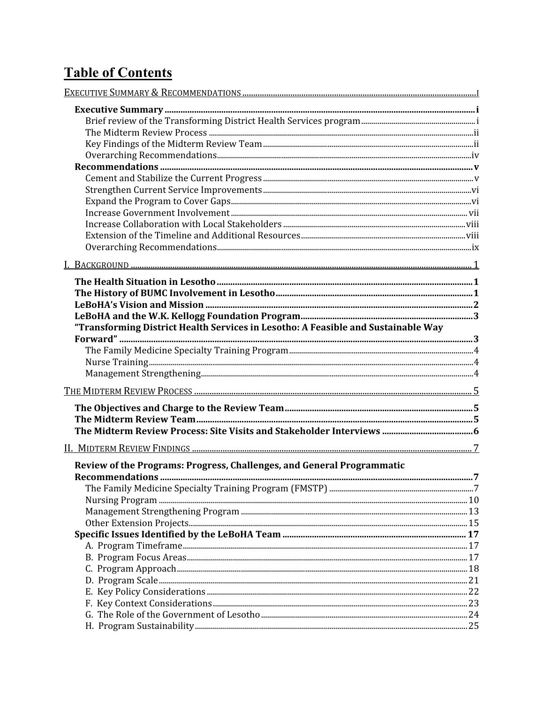## **Table of Contents**

| "Transforming District Health Services in Lesotho: A Feasible and Sustainable Way |  |
|-----------------------------------------------------------------------------------|--|
|                                                                                   |  |
|                                                                                   |  |
|                                                                                   |  |
|                                                                                   |  |
|                                                                                   |  |
|                                                                                   |  |
|                                                                                   |  |
|                                                                                   |  |
|                                                                                   |  |
|                                                                                   |  |
| Review of the Programs: Progress, Challenges, and General Programmatic            |  |
|                                                                                   |  |
|                                                                                   |  |
|                                                                                   |  |
|                                                                                   |  |
|                                                                                   |  |
|                                                                                   |  |
|                                                                                   |  |
|                                                                                   |  |
|                                                                                   |  |
|                                                                                   |  |
|                                                                                   |  |
|                                                                                   |  |
|                                                                                   |  |
|                                                                                   |  |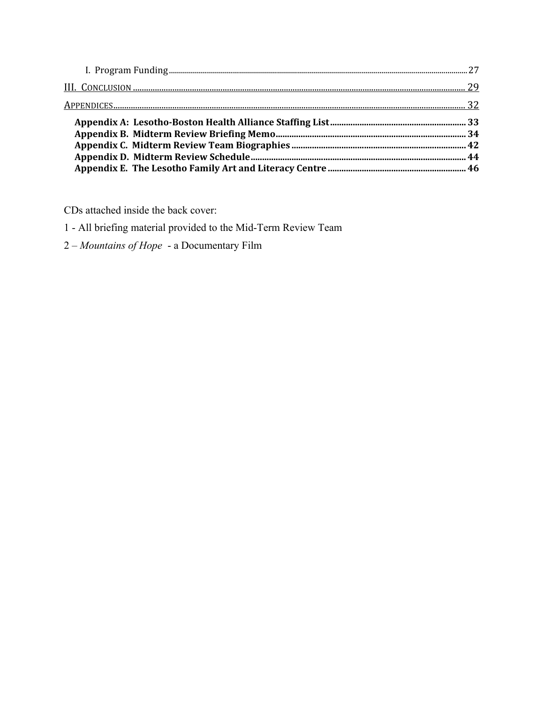CDs attached inside the back cover:

1 - All briefing material provided to the Mid-Term Review Team

2 - Mountains of Hope - a Documentary Film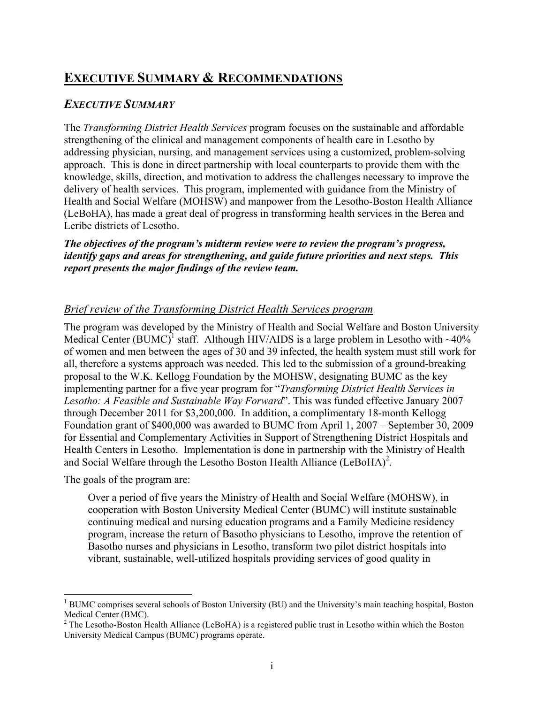## **EXECUTIVE SUMMARY & RECOMMENDATIONS**

#### *EXECUTIVE SUMMARY*

The *Transforming District Health Services* program focuses on the sustainable and affordable strengthening of the clinical and management components of health care in Lesotho by addressing physician, nursing, and management services using a customized, problem-solving approach. This is done in direct partnership with local counterparts to provide them with the knowledge, skills, direction, and motivation to address the challenges necessary to improve the delivery of health services. This program, implemented with guidance from the Ministry of Health and Social Welfare (MOHSW) and manpower from the Lesotho-Boston Health Alliance (LeBoHA), has made a great deal of progress in transforming health services in the Berea and Leribe districts of Lesotho.

*The objectives of the program's midterm review were to review the program's progress, identify gaps and areas for strengthening, and guide future priorities and next steps. This report presents the major findings of the review team.*

#### *Brief review of the Transforming District Health Services program*

The program was developed by the Ministry of Health and Social Welfare and Boston University Medical Center (BUMC)<sup>1</sup> staff. Although HIV/AIDS is a large problem in Lesotho with  $\sim$ 40% of women and men between the ages of 30 and 39 infected, the health system must still work for all, therefore a systems approach was needed. This led to the submission of a ground-breaking proposal to the W.K. Kellogg Foundation by the MOHSW, designating BUMC as the key implementing partner for a five year program for "*Transforming District Health Services in Lesotho: A Feasible and Sustainable Way Forward*". This was funded effective January 2007 through December 2011 for \$3,200,000. In addition, a complimentary 18-month Kellogg Foundation grant of \$400,000 was awarded to BUMC from April 1, 2007 – September 30, 2009 for Essential and Complementary Activities in Support of Strengthening District Hospitals and Health Centers in Lesotho. Implementation is done in partnership with the Ministry of Health and Social Welfare through the Lesotho Boston Health Alliance (LeBoHA)<sup>2</sup>.

The goals of the program are:

Over a period of five years the Ministry of Health and Social Welfare (MOHSW), in cooperation with Boston University Medical Center (BUMC) will institute sustainable continuing medical and nursing education programs and a Family Medicine residency program, increase the return of Basotho physicians to Lesotho, improve the retention of Basotho nurses and physicians in Lesotho, transform two pilot district hospitals into vibrant, sustainable, well-utilized hospitals providing services of good quality in

 $<sup>1</sup>$  BUMC comprises several schools of Boston University (BU) and the University's main teaching hospital, Boston</sup> Medical Center (BMC).

 $2^2$  The Lesotho-Boston Health Alliance (LeBoHA) is a registered public trust in Lesotho within which the Boston University Medical Campus (BUMC) programs operate.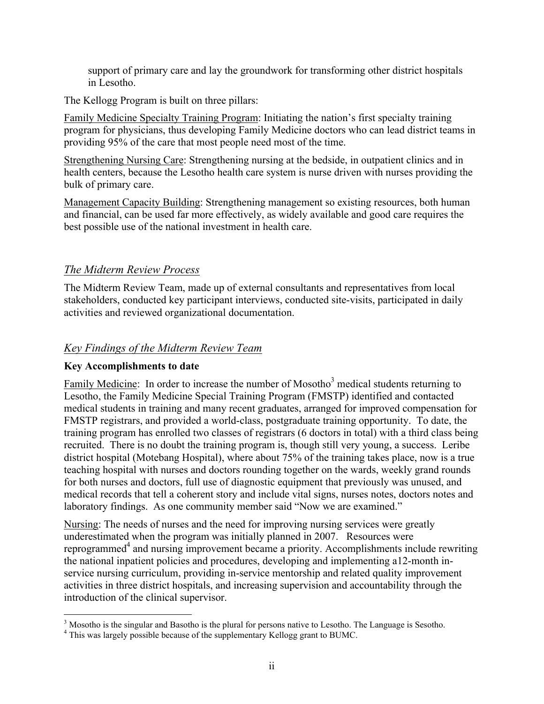support of primary care and lay the groundwork for transforming other district hospitals in Lesotho.

The Kellogg Program is built on three pillars:

Family Medicine Specialty Training Program: Initiating the nation's first specialty training program for physicians, thus developing Family Medicine doctors who can lead district teams in providing 95% of the care that most people need most of the time.

Strengthening Nursing Care: Strengthening nursing at the bedside, in outpatient clinics and in health centers, because the Lesotho health care system is nurse driven with nurses providing the bulk of primary care.

Management Capacity Building: Strengthening management so existing resources, both human and financial, can be used far more effectively, as widely available and good care requires the best possible use of the national investment in health care.

#### *The Midterm Review Process*

The Midterm Review Team, made up of external consultants and representatives from local stakeholders, conducted key participant interviews, conducted site-visits, participated in daily activities and reviewed organizational documentation.

#### *Key Findings of the Midterm Review Team*

#### **Key Accomplishments to date**

Family Medicine: In order to increase the number of Mosotho<sup>3</sup> medical students returning to Lesotho, the Family Medicine Special Training Program (FMSTP) identified and contacted medical students in training and many recent graduates, arranged for improved compensation for FMSTP registrars, and provided a world-class, postgraduate training opportunity. To date, the training program has enrolled two classes of registrars (6 doctors in total) with a third class being recruited. There is no doubt the training program is, though still very young, a success. Leribe district hospital (Motebang Hospital), where about 75% of the training takes place, now is a true teaching hospital with nurses and doctors rounding together on the wards, weekly grand rounds for both nurses and doctors, full use of diagnostic equipment that previously was unused, and medical records that tell a coherent story and include vital signs, nurses notes, doctors notes and laboratory findings. As one community member said "Now we are examined."

Nursing: The needs of nurses and the need for improving nursing services were greatly underestimated when the program was initially planned in 2007. Resources were reprogrammed<sup>4</sup> and nursing improvement became a priority. Accomplishments include rewriting the national inpatient policies and procedures, developing and implementing a12-month inservice nursing curriculum, providing in-service mentorship and related quality improvement activities in three district hospitals, and increasing supervision and accountability through the introduction of the clinical supervisor.

<sup>&</sup>lt;sup>2</sup><br>3 <sup>3</sup> Mosotho is the singular and Basotho is the plural for persons native to Lesotho. The Language is Sesotho.

<sup>&</sup>lt;sup>4</sup> This was largely possible because of the supplementary Kellogg grant to BUMC.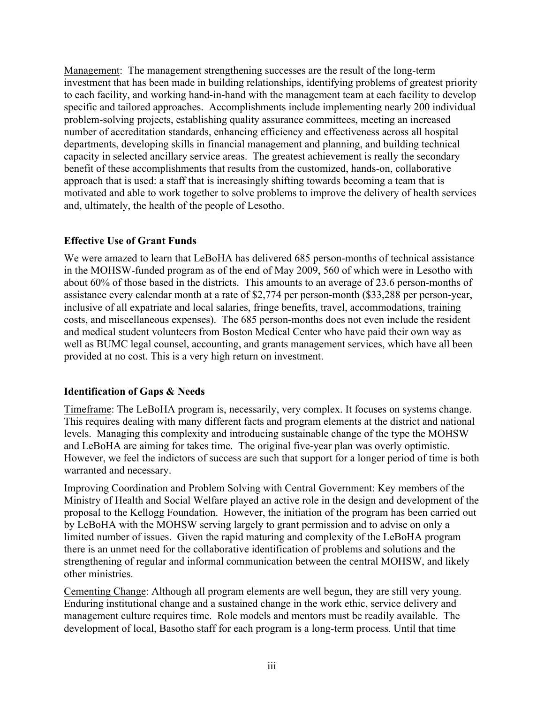Management: The management strengthening successes are the result of the long-term investment that has been made in building relationships, identifying problems of greatest priority to each facility, and working hand-in-hand with the management team at each facility to develop specific and tailored approaches. Accomplishments include implementing nearly 200 individual problem-solving projects, establishing quality assurance committees, meeting an increased number of accreditation standards, enhancing efficiency and effectiveness across all hospital departments, developing skills in financial management and planning, and building technical capacity in selected ancillary service areas. The greatest achievement is really the secondary benefit of these accomplishments that results from the customized, hands-on, collaborative approach that is used: a staff that is increasingly shifting towards becoming a team that is motivated and able to work together to solve problems to improve the delivery of health services and, ultimately, the health of the people of Lesotho.

#### **Effective Use of Grant Funds**

We were amazed to learn that LeBoHA has delivered 685 person-months of technical assistance in the MOHSW-funded program as of the end of May 2009, 560 of which were in Lesotho with about 60% of those based in the districts. This amounts to an average of 23.6 person-months of assistance every calendar month at a rate of \$2,774 per person-month (\$33,288 per person-year, inclusive of all expatriate and local salaries, fringe benefits, travel, accommodations, training costs, and miscellaneous expenses). The 685 person-months does not even include the resident and medical student volunteers from Boston Medical Center who have paid their own way as well as BUMC legal counsel, accounting, and grants management services, which have all been provided at no cost. This is a very high return on investment.

#### **Identification of Gaps & Needs**

Timeframe: The LeBoHA program is, necessarily, very complex. It focuses on systems change. This requires dealing with many different facts and program elements at the district and national levels. Managing this complexity and introducing sustainable change of the type the MOHSW and LeBoHA are aiming for takes time. The original five-year plan was overly optimistic. However, we feel the indictors of success are such that support for a longer period of time is both warranted and necessary.

Improving Coordination and Problem Solving with Central Government: Key members of the Ministry of Health and Social Welfare played an active role in the design and development of the proposal to the Kellogg Foundation. However, the initiation of the program has been carried out by LeBoHA with the MOHSW serving largely to grant permission and to advise on only a limited number of issues. Given the rapid maturing and complexity of the LeBoHA program there is an unmet need for the collaborative identification of problems and solutions and the strengthening of regular and informal communication between the central MOHSW, and likely other ministries.

Cementing Change: Although all program elements are well begun, they are still very young. Enduring institutional change and a sustained change in the work ethic, service delivery and management culture requires time. Role models and mentors must be readily available. The development of local, Basotho staff for each program is a long-term process. Until that time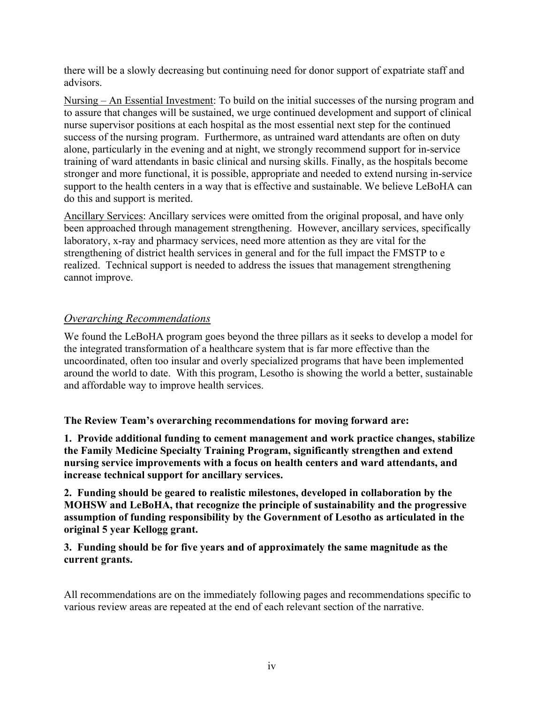there will be a slowly decreasing but continuing need for donor support of expatriate staff and advisors.

Nursing – An Essential Investment: To build on the initial successes of the nursing program and to assure that changes will be sustained, we urge continued development and support of clinical nurse supervisor positions at each hospital as the most essential next step for the continued success of the nursing program. Furthermore, as untrained ward attendants are often on duty alone, particularly in the evening and at night, we strongly recommend support for in-service training of ward attendants in basic clinical and nursing skills. Finally, as the hospitals become stronger and more functional, it is possible, appropriate and needed to extend nursing in-service support to the health centers in a way that is effective and sustainable. We believe LeBoHA can do this and support is merited.

Ancillary Services: Ancillary services were omitted from the original proposal, and have only been approached through management strengthening. However, ancillary services, specifically laboratory, x-ray and pharmacy services, need more attention as they are vital for the strengthening of district health services in general and for the full impact the FMSTP to e realized. Technical support is needed to address the issues that management strengthening cannot improve.

#### *Overarching Recommendations*

We found the LeBoHA program goes beyond the three pillars as it seeks to develop a model for the integrated transformation of a healthcare system that is far more effective than the uncoordinated, often too insular and overly specialized programs that have been implemented around the world to date. With this program, Lesotho is showing the world a better, sustainable and affordable way to improve health services.

**The Review Team's overarching recommendations for moving forward are:**

**1. Provide additional funding to cement management and work practice changes, stabilize the Family Medicine Specialty Training Program, significantly strengthen and extend nursing service improvements with a focus on health centers and ward attendants, and increase technical support for ancillary services.** 

**2. Funding should be geared to realistic milestones, developed in collaboration by the MOHSW and LeBoHA, that recognize the principle of sustainability and the progressive assumption of funding responsibility by the Government of Lesotho as articulated in the original 5 year Kellogg grant.** 

**3. Funding should be for five years and of approximately the same magnitude as the current grants.**

All recommendations are on the immediately following pages and recommendations specific to various review areas are repeated at the end of each relevant section of the narrative.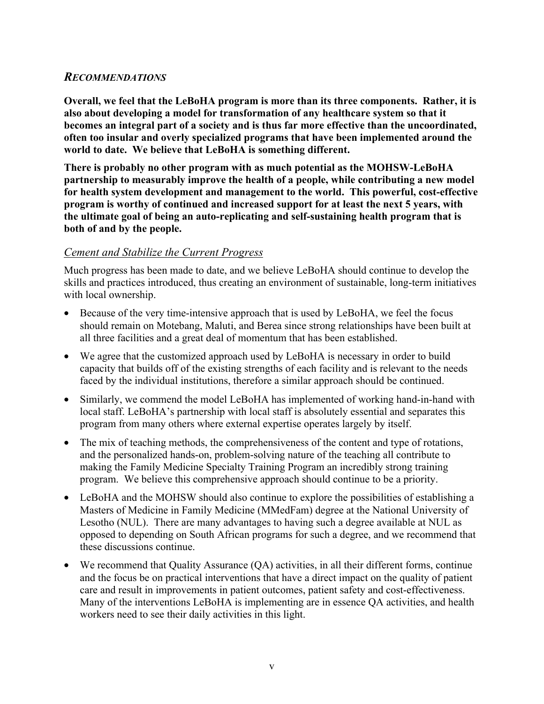#### *RECOMMENDATIONS*

**Overall, we feel that the LeBoHA program is more than its three components. Rather, it is also about developing a model for transformation of any healthcare system so that it becomes an integral part of a society and is thus far more effective than the uncoordinated, often too insular and overly specialized programs that have been implemented around the world to date. We believe that LeBoHA is something different.** 

**There is probably no other program with as much potential as the MOHSW-LeBoHA partnership to measurably improve the health of a people, while contributing a new model for health system development and management to the world. This powerful, cost-effective program is worthy of continued and increased support for at least the next 5 years, with the ultimate goal of being an auto-replicating and self-sustaining health program that is both of and by the people.**

#### *Cement and Stabilize the Current Progress*

Much progress has been made to date, and we believe LeBoHA should continue to develop the skills and practices introduced, thus creating an environment of sustainable, long-term initiatives with local ownership.

- Because of the very time-intensive approach that is used by LeBoHA, we feel the focus should remain on Motebang, Maluti, and Berea since strong relationships have been built at all three facilities and a great deal of momentum that has been established.
- We agree that the customized approach used by LeBoHA is necessary in order to build capacity that builds off of the existing strengths of each facility and is relevant to the needs faced by the individual institutions, therefore a similar approach should be continued.
- Similarly, we commend the model LeBoHA has implemented of working hand-in-hand with local staff. LeBoHA's partnership with local staff is absolutely essential and separates this program from many others where external expertise operates largely by itself.
- The mix of teaching methods, the comprehensiveness of the content and type of rotations, and the personalized hands-on, problem-solving nature of the teaching all contribute to making the Family Medicine Specialty Training Program an incredibly strong training program. We believe this comprehensive approach should continue to be a priority.
- LeBoHA and the MOHSW should also continue to explore the possibilities of establishing a Masters of Medicine in Family Medicine (MMedFam) degree at the National University of Lesotho (NUL). There are many advantages to having such a degree available at NUL as opposed to depending on South African programs for such a degree, and we recommend that these discussions continue.
- We recommend that Quality Assurance (QA) activities, in all their different forms, continue and the focus be on practical interventions that have a direct impact on the quality of patient care and result in improvements in patient outcomes, patient safety and cost-effectiveness. Many of the interventions LeBoHA is implementing are in essence QA activities, and health workers need to see their daily activities in this light.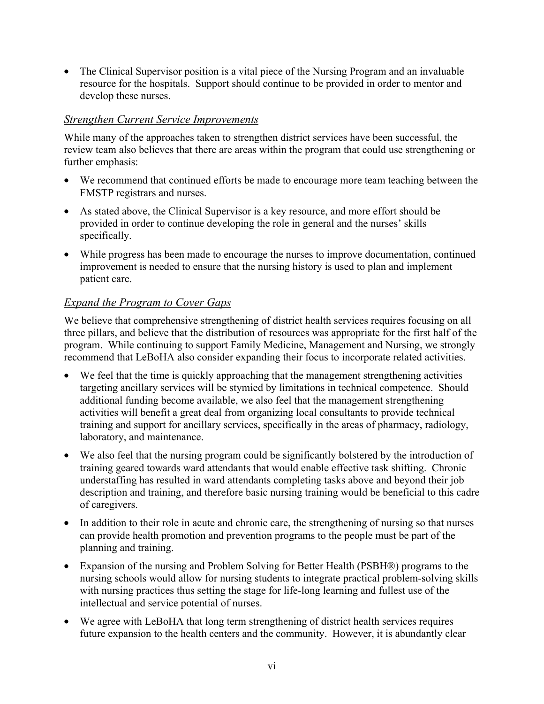• The Clinical Supervisor position is a vital piece of the Nursing Program and an invaluable resource for the hospitals. Support should continue to be provided in order to mentor and develop these nurses.

#### *Strengthen Current Service Improvements*

While many of the approaches taken to strengthen district services have been successful, the review team also believes that there are areas within the program that could use strengthening or further emphasis:

- We recommend that continued efforts be made to encourage more team teaching between the FMSTP registrars and nurses.
- As stated above, the Clinical Supervisor is a key resource, and more effort should be provided in order to continue developing the role in general and the nurses' skills specifically.
- While progress has been made to encourage the nurses to improve documentation, continued improvement is needed to ensure that the nursing history is used to plan and implement patient care.

#### *Expand the Program to Cover Gaps*

We believe that comprehensive strengthening of district health services requires focusing on all three pillars, and believe that the distribution of resources was appropriate for the first half of the program. While continuing to support Family Medicine, Management and Nursing, we strongly recommend that LeBoHA also consider expanding their focus to incorporate related activities.

- We feel that the time is quickly approaching that the management strengthening activities targeting ancillary services will be stymied by limitations in technical competence. Should additional funding become available, we also feel that the management strengthening activities will benefit a great deal from organizing local consultants to provide technical training and support for ancillary services, specifically in the areas of pharmacy, radiology, laboratory, and maintenance.
- We also feel that the nursing program could be significantly bolstered by the introduction of training geared towards ward attendants that would enable effective task shifting. Chronic understaffing has resulted in ward attendants completing tasks above and beyond their job description and training, and therefore basic nursing training would be beneficial to this cadre of caregivers.
- In addition to their role in acute and chronic care, the strengthening of nursing so that nurses can provide health promotion and prevention programs to the people must be part of the planning and training.
- Expansion of the nursing and Problem Solving for Better Health (PSBH®) programs to the nursing schools would allow for nursing students to integrate practical problem-solving skills with nursing practices thus setting the stage for life-long learning and fullest use of the intellectual and service potential of nurses.
- We agree with LeBoHA that long term strengthening of district health services requires future expansion to the health centers and the community. However, it is abundantly clear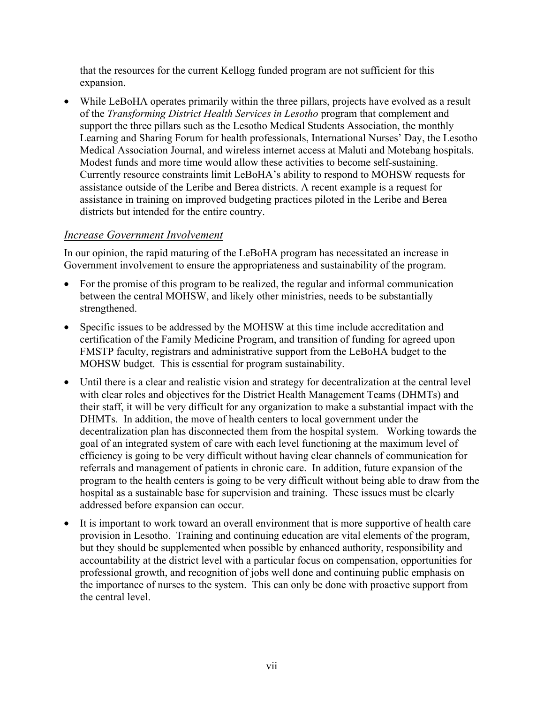that the resources for the current Kellogg funded program are not sufficient for this expansion.

While LeBoHA operates primarily within the three pillars, projects have evolved as a result of the *Transforming District Health Services in Lesotho* program that complement and support the three pillars such as the Lesotho Medical Students Association, the monthly Learning and Sharing Forum for health professionals, International Nurses' Day, the Lesotho Medical Association Journal, and wireless internet access at Maluti and Motebang hospitals. Modest funds and more time would allow these activities to become self-sustaining. Currently resource constraints limit LeBoHA's ability to respond to MOHSW requests for assistance outside of the Leribe and Berea districts. A recent example is a request for assistance in training on improved budgeting practices piloted in the Leribe and Berea districts but intended for the entire country.

#### *Increase Government Involvement*

In our opinion, the rapid maturing of the LeBoHA program has necessitated an increase in Government involvement to ensure the appropriateness and sustainability of the program.

- For the promise of this program to be realized, the regular and informal communication between the central MOHSW, and likely other ministries, needs to be substantially strengthened.
- Specific issues to be addressed by the MOHSW at this time include accreditation and certification of the Family Medicine Program, and transition of funding for agreed upon FMSTP faculty, registrars and administrative support from the LeBoHA budget to the MOHSW budget. This is essential for program sustainability.
- Until there is a clear and realistic vision and strategy for decentralization at the central level with clear roles and objectives for the District Health Management Teams (DHMTs) and their staff, it will be very difficult for any organization to make a substantial impact with the DHMTs. In addition, the move of health centers to local government under the decentralization plan has disconnected them from the hospital system. Working towards the goal of an integrated system of care with each level functioning at the maximum level of efficiency is going to be very difficult without having clear channels of communication for referrals and management of patients in chronic care. In addition, future expansion of the program to the health centers is going to be very difficult without being able to draw from the hospital as a sustainable base for supervision and training. These issues must be clearly addressed before expansion can occur.
- It is important to work toward an overall environment that is more supportive of health care provision in Lesotho. Training and continuing education are vital elements of the program, but they should be supplemented when possible by enhanced authority, responsibility and accountability at the district level with a particular focus on compensation, opportunities for professional growth, and recognition of jobs well done and continuing public emphasis on the importance of nurses to the system. This can only be done with proactive support from the central level.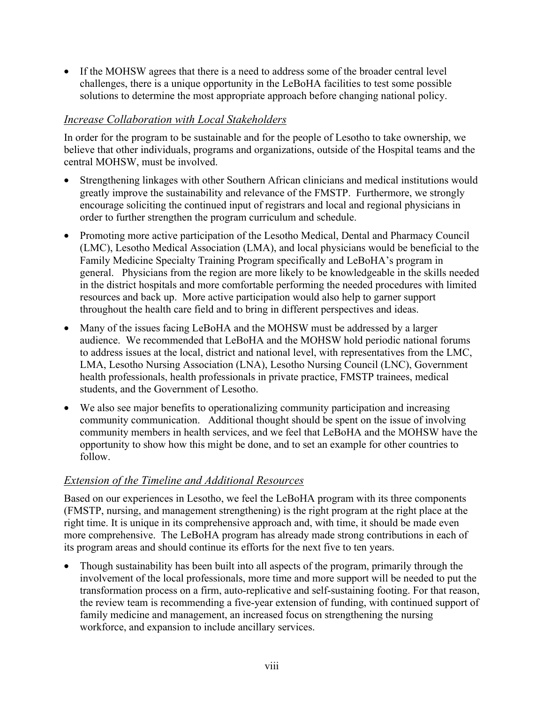• If the MOHSW agrees that there is a need to address some of the broader central level challenges, there is a unique opportunity in the LeBoHA facilities to test some possible solutions to determine the most appropriate approach before changing national policy.

#### *Increase Collaboration with Local Stakeholders*

In order for the program to be sustainable and for the people of Lesotho to take ownership, we believe that other individuals, programs and organizations, outside of the Hospital teams and the central MOHSW, must be involved.

- Strengthening linkages with other Southern African clinicians and medical institutions would greatly improve the sustainability and relevance of the FMSTP. Furthermore, we strongly encourage soliciting the continued input of registrars and local and regional physicians in order to further strengthen the program curriculum and schedule.
- Promoting more active participation of the Lesotho Medical, Dental and Pharmacy Council (LMC), Lesotho Medical Association (LMA), and local physicians would be beneficial to the Family Medicine Specialty Training Program specifically and LeBoHA's program in general. Physicians from the region are more likely to be knowledgeable in the skills needed in the district hospitals and more comfortable performing the needed procedures with limited resources and back up. More active participation would also help to garner support throughout the health care field and to bring in different perspectives and ideas.
- Many of the issues facing LeBoHA and the MOHSW must be addressed by a larger audience. We recommended that LeBoHA and the MOHSW hold periodic national forums to address issues at the local, district and national level, with representatives from the LMC, LMA, Lesotho Nursing Association (LNA), Lesotho Nursing Council (LNC), Government health professionals, health professionals in private practice, FMSTP trainees, medical students, and the Government of Lesotho.
- We also see major benefits to operationalizing community participation and increasing community communication. Additional thought should be spent on the issue of involving community members in health services, and we feel that LeBoHA and the MOHSW have the opportunity to show how this might be done, and to set an example for other countries to follow.

#### *Extension of the Timeline and Additional Resources*

Based on our experiences in Lesotho, we feel the LeBoHA program with its three components (FMSTP, nursing, and management strengthening) is the right program at the right place at the right time. It is unique in its comprehensive approach and, with time, it should be made even more comprehensive. The LeBoHA program has already made strong contributions in each of its program areas and should continue its efforts for the next five to ten years.

• Though sustainability has been built into all aspects of the program, primarily through the involvement of the local professionals, more time and more support will be needed to put the transformation process on a firm, auto-replicative and self-sustaining footing. For that reason, the review team is recommending a five-year extension of funding, with continued support of family medicine and management, an increased focus on strengthening the nursing workforce, and expansion to include ancillary services.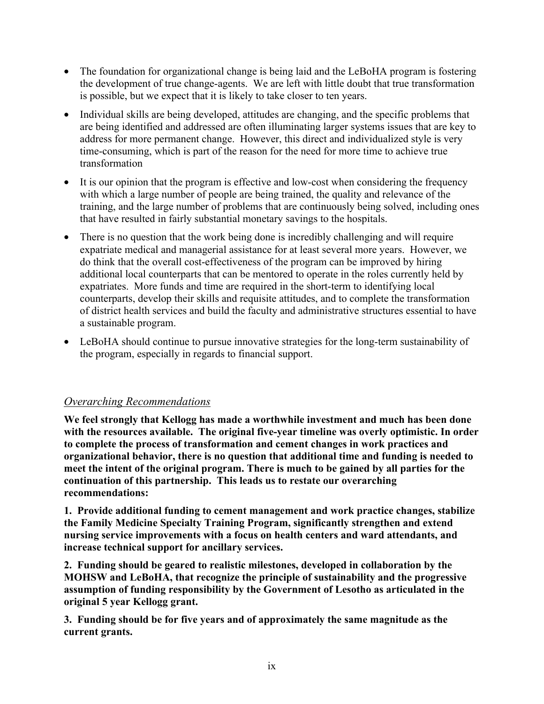- The foundation for organizational change is being laid and the LeBoHA program is fostering the development of true change-agents. We are left with little doubt that true transformation is possible, but we expect that it is likely to take closer to ten years.
- Individual skills are being developed, attitudes are changing, and the specific problems that are being identified and addressed are often illuminating larger systems issues that are key to address for more permanent change. However, this direct and individualized style is very time-consuming, which is part of the reason for the need for more time to achieve true transformation
- It is our opinion that the program is effective and low-cost when considering the frequency with which a large number of people are being trained, the quality and relevance of the training, and the large number of problems that are continuously being solved, including ones that have resulted in fairly substantial monetary savings to the hospitals.
- There is no question that the work being done is incredibly challenging and will require expatriate medical and managerial assistance for at least several more years. However, we do think that the overall cost-effectiveness of the program can be improved by hiring additional local counterparts that can be mentored to operate in the roles currently held by expatriates. More funds and time are required in the short-term to identifying local counterparts, develop their skills and requisite attitudes, and to complete the transformation of district health services and build the faculty and administrative structures essential to have a sustainable program.
- LeBoHA should continue to pursue innovative strategies for the long-term sustainability of the program, especially in regards to financial support.

#### *Overarching Recommendations*

**We feel strongly that Kellogg has made a worthwhile investment and much has been done with the resources available. The original five-year timeline was overly optimistic. In order to complete the process of transformation and cement changes in work practices and organizational behavior, there is no question that additional time and funding is needed to meet the intent of the original program. There is much to be gained by all parties for the continuation of this partnership. This leads us to restate our overarching recommendations:**

**1. Provide additional funding to cement management and work practice changes, stabilize the Family Medicine Specialty Training Program, significantly strengthen and extend nursing service improvements with a focus on health centers and ward attendants, and increase technical support for ancillary services.** 

**2. Funding should be geared to realistic milestones, developed in collaboration by the MOHSW and LeBoHA, that recognize the principle of sustainability and the progressive assumption of funding responsibility by the Government of Lesotho as articulated in the original 5 year Kellogg grant.** 

**3. Funding should be for five years and of approximately the same magnitude as the current grants.**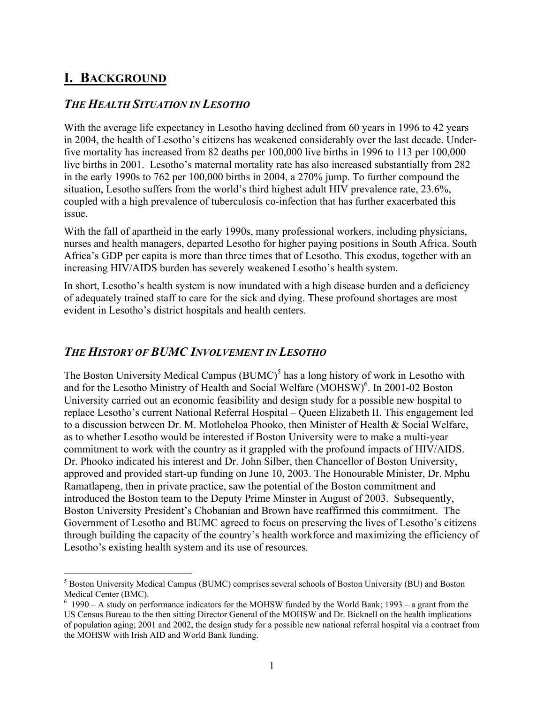## **I. BACKGROUND**

#### *THE HEALTH SITUATION IN LESOTHO*

With the average life expectancy in Lesotho having declined from 60 years in 1996 to 42 years in 2004, the health of Lesotho's citizens has weakened considerably over the last decade. Underfive mortality has increased from 82 deaths per 100,000 live births in 1996 to 113 per 100,000 live births in 2001. Lesotho's maternal mortality rate has also increased substantially from 282 in the early 1990s to 762 per 100,000 births in 2004, a 270% jump. To further compound the situation, Lesotho suffers from the world's third highest adult HIV prevalence rate, 23.6%, coupled with a high prevalence of tuberculosis co-infection that has further exacerbated this issue.

With the fall of apartheid in the early 1990s, many professional workers, including physicians, nurses and health managers, departed Lesotho for higher paying positions in South Africa. South Africa's GDP per capita is more than three times that of Lesotho. This exodus, together with an increasing HIV/AIDS burden has severely weakened Lesotho's health system.

In short, Lesotho's health system is now inundated with a high disease burden and a deficiency of adequately trained staff to care for the sick and dying. These profound shortages are most evident in Lesotho's district hospitals and health centers.

#### *THE HISTORY OF BUMC INVOLVEMENT IN LESOTHO*

The Boston University Medical Campus  $(BUMC)^5$  has a long history of work in Lesotho with and for the Lesotho Ministry of Health and Social Welfare (MOHSW)<sup>6</sup>. In 2001-02 Boston University carried out an economic feasibility and design study for a possible new hospital to replace Lesotho's current National Referral Hospital – Queen Elizabeth II. This engagement led to a discussion between Dr. M. Motloheloa Phooko, then Minister of Health & Social Welfare, as to whether Lesotho would be interested if Boston University were to make a multi-year commitment to work with the country as it grappled with the profound impacts of HIV/AIDS. Dr. Phooko indicated his interest and Dr. John Silber, then Chancellor of Boston University, approved and provided start-up funding on June 10, 2003. The Honourable Minister, Dr. Mphu Ramatlapeng, then in private practice, saw the potential of the Boston commitment and introduced the Boston team to the Deputy Prime Minster in August of 2003. Subsequently, Boston University President's Chobanian and Brown have reaffirmed this commitment. The Government of Lesotho and BUMC agreed to focus on preserving the lives of Lesotho's citizens through building the capacity of the country's health workforce and maximizing the efficiency of Lesotho's existing health system and its use of resources.

 $\frac{1}{5}$ <sup>5</sup> Boston University Medical Campus (BUMC) comprises several schools of Boston University (BU) and Boston Medical Center (BMC).

 $6$  1990 – A study on performance indicators for the MOHSW funded by the World Bank; 1993 – a grant from the US Census Bureau to the then sitting Director General of the MOHSW and Dr. Bicknell on the health implications of population aging; 2001 and 2002, the design study for a possible new national referral hospital via a contract from the MOHSW with Irish AID and World Bank funding.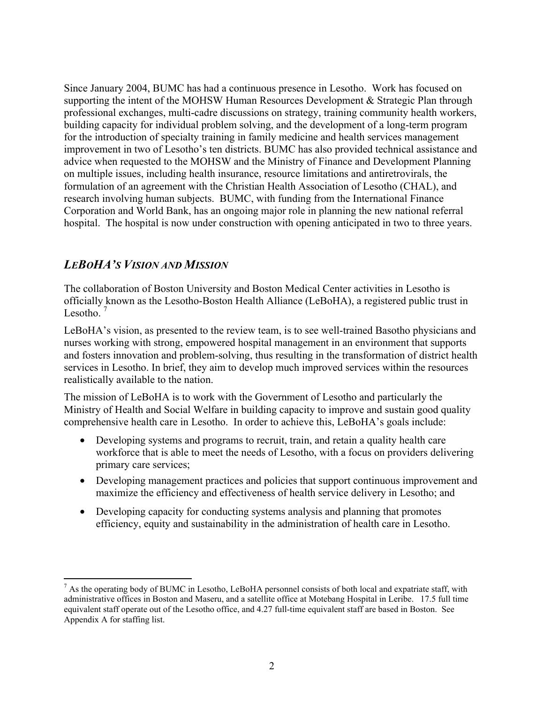Since January 2004, BUMC has had a continuous presence in Lesotho. Work has focused on supporting the intent of the MOHSW Human Resources Development & Strategic Plan through professional exchanges, multi-cadre discussions on strategy, training community health workers, building capacity for individual problem solving, and the development of a long-term program for the introduction of specialty training in family medicine and health services management improvement in two of Lesotho's ten districts. BUMC has also provided technical assistance and advice when requested to the MOHSW and the Ministry of Finance and Development Planning on multiple issues, including health insurance, resource limitations and antiretrovirals, the formulation of an agreement with the Christian Health Association of Lesotho (CHAL), and research involving human subjects. BUMC, with funding from the International Finance Corporation and World Bank, has an ongoing major role in planning the new national referral hospital. The hospital is now under construction with opening anticipated in two to three years.

#### *LEBOHA'S VISION AND MISSION*

The collaboration of Boston University and Boston Medical Center activities in Lesotho is officially known as the Lesotho-Boston Health Alliance (LeBoHA), a registered public trust in Lesotho. $<sup>7</sup>$ </sup>

LeBoHA's vision, as presented to the review team, is to see well-trained Basotho physicians and nurses working with strong, empowered hospital management in an environment that supports and fosters innovation and problem-solving, thus resulting in the transformation of district health services in Lesotho. In brief, they aim to develop much improved services within the resources realistically available to the nation.

The mission of LeBoHA is to work with the Government of Lesotho and particularly the Ministry of Health and Social Welfare in building capacity to improve and sustain good quality comprehensive health care in Lesotho. In order to achieve this, LeBoHA's goals include:

- Developing systems and programs to recruit, train, and retain a quality health care workforce that is able to meet the needs of Lesotho, with a focus on providers delivering primary care services;
- Developing management practices and policies that support continuous improvement and maximize the efficiency and effectiveness of health service delivery in Lesotho; and
- Developing capacity for conducting systems analysis and planning that promotes efficiency, equity and sustainability in the administration of health care in Lesotho.

<sup>-&</sup>lt;br>7 <sup>7</sup> As the operating body of BUMC in Lesotho, LeBoHA personnel consists of both local and expatriate staff, with administrative offices in Boston and Maseru, and a satellite office at Motebang Hospital in Leribe. 17.5 full time equivalent staff operate out of the Lesotho office, and 4.27 full-time equivalent staff are based in Boston. See Appendix A for staffing list.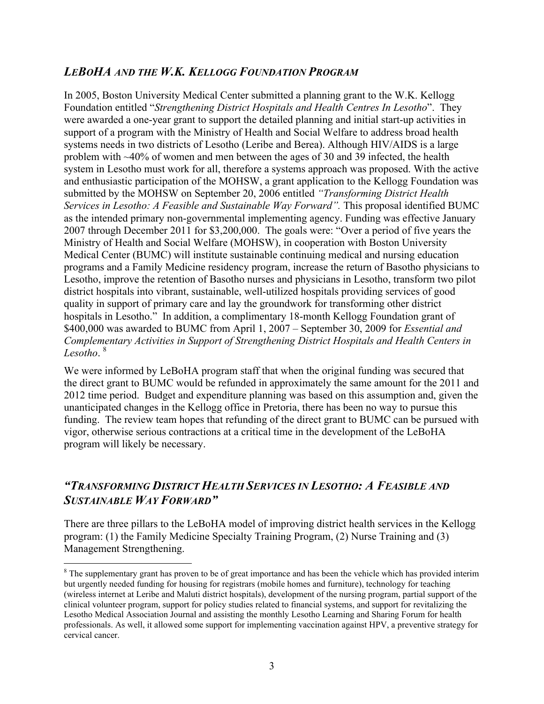#### *LEBOHA AND THE W.K. KELLOGG FOUNDATION PROGRAM*

In 2005, Boston University Medical Center submitted a planning grant to the W.K. Kellogg Foundation entitled "*Strengthening District Hospitals and Health Centres In Lesotho*". They were awarded a one-year grant to support the detailed planning and initial start-up activities in support of a program with the Ministry of Health and Social Welfare to address broad health systems needs in two districts of Lesotho (Leribe and Berea). Although HIV/AIDS is a large problem with ~40% of women and men between the ages of 30 and 39 infected, the health system in Lesotho must work for all, therefore a systems approach was proposed. With the active and enthusiastic participation of the MOHSW, a grant application to the Kellogg Foundation was submitted by the MOHSW on September 20, 2006 entitled *"Transforming District Health Services in Lesotho: A Feasible and Sustainable Way Forward".* This proposal identified BUMC as the intended primary non-governmental implementing agency. Funding was effective January 2007 through December 2011 for \$3,200,000. The goals were: "Over a period of five years the Ministry of Health and Social Welfare (MOHSW), in cooperation with Boston University Medical Center (BUMC) will institute sustainable continuing medical and nursing education programs and a Family Medicine residency program, increase the return of Basotho physicians to Lesotho, improve the retention of Basotho nurses and physicians in Lesotho, transform two pilot district hospitals into vibrant, sustainable, well-utilized hospitals providing services of good quality in support of primary care and lay the groundwork for transforming other district hospitals in Lesotho." In addition, a complimentary 18-month Kellogg Foundation grant of \$400,000 was awarded to BUMC from April 1, 2007 – September 30, 2009 for *Essential and Complementary Activities in Support of Strengthening District Hospitals and Health Centers in Lesotho*. 8

We were informed by LeBoHA program staff that when the original funding was secured that the direct grant to BUMC would be refunded in approximately the same amount for the 2011 and 2012 time period. Budget and expenditure planning was based on this assumption and, given the unanticipated changes in the Kellogg office in Pretoria, there has been no way to pursue this funding. The review team hopes that refunding of the direct grant to BUMC can be pursued with vigor, otherwise serious contractions at a critical time in the development of the LeBoHA program will likely be necessary.

#### *"TRANSFORMING DISTRICT HEALTH SERVICES IN LESOTHO: A FEASIBLE AND SUSTAINABLE WAY FORWARD"*

There are three pillars to the LeBoHA model of improving district health services in the Kellogg program: (1) the Family Medicine Specialty Training Program, (2) Nurse Training and (3) Management Strengthening.

 <sup>8</sup> <sup>8</sup> The supplementary grant has proven to be of great importance and has been the vehicle which has provided interim but urgently needed funding for housing for registrars (mobile homes and furniture), technology for teaching (wireless internet at Leribe and Maluti district hospitals), development of the nursing program, partial support of the clinical volunteer program, support for policy studies related to financial systems, and support for revitalizing the Lesotho Medical Association Journal and assisting the monthly Lesotho Learning and Sharing Forum for health professionals. As well, it allowed some support for implementing vaccination against HPV, a preventive strategy for cervical cancer.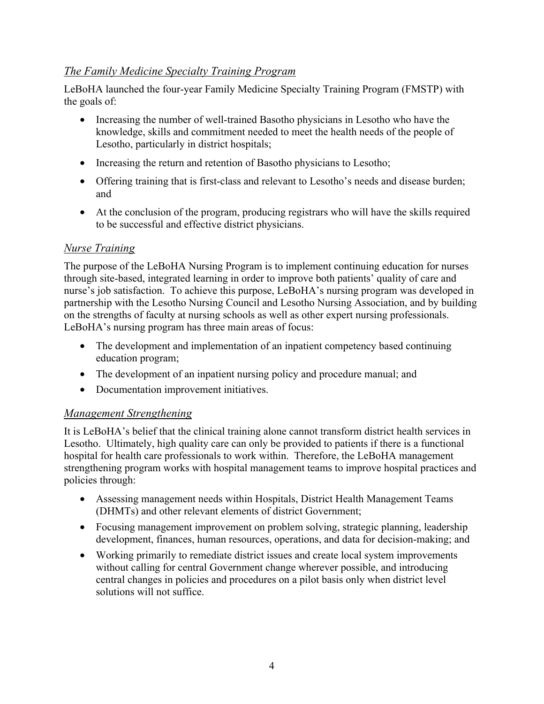#### *The Family Medicine Specialty Training Program*

LeBoHA launched the four-year Family Medicine Specialty Training Program (FMSTP) with the goals of:

- Increasing the number of well-trained Basotho physicians in Lesotho who have the knowledge, skills and commitment needed to meet the health needs of the people of Lesotho, particularly in district hospitals;
- Increasing the return and retention of Basotho physicians to Lesotho;
- Offering training that is first-class and relevant to Lesotho's needs and disease burden; and
- At the conclusion of the program, producing registrars who will have the skills required to be successful and effective district physicians.

#### *Nurse Training*

The purpose of the LeBoHA Nursing Program is to implement continuing education for nurses through site-based, integrated learning in order to improve both patients' quality of care and nurse's job satisfaction. To achieve this purpose, LeBoHA's nursing program was developed in partnership with the Lesotho Nursing Council and Lesotho Nursing Association, and by building on the strengths of faculty at nursing schools as well as other expert nursing professionals. LeBoHA's nursing program has three main areas of focus:

- The development and implementation of an inpatient competency based continuing education program;
- The development of an inpatient nursing policy and procedure manual; and
- Documentation improvement initiatives.

#### *Management Strengthening*

It is LeBoHA's belief that the clinical training alone cannot transform district health services in Lesotho. Ultimately, high quality care can only be provided to patients if there is a functional hospital for health care professionals to work within. Therefore, the LeBoHA management strengthening program works with hospital management teams to improve hospital practices and policies through:

- Assessing management needs within Hospitals, District Health Management Teams (DHMTs) and other relevant elements of district Government;
- Focusing management improvement on problem solving, strategic planning, leadership development, finances, human resources, operations, and data for decision-making; and
- Working primarily to remediate district issues and create local system improvements without calling for central Government change wherever possible, and introducing central changes in policies and procedures on a pilot basis only when district level solutions will not suffice.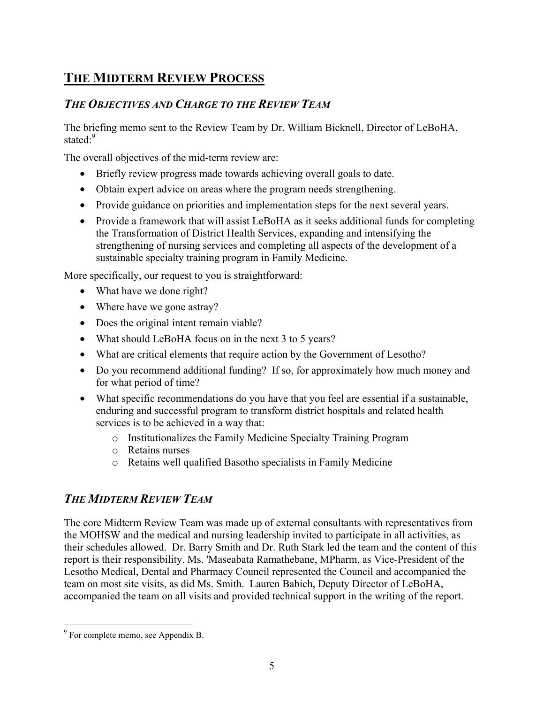## **THE MIDTERM REVIEW PROCESS**

#### *THE OBJECTIVES AND CHARGE TO THE REVIEW TEAM*

The briefing memo sent to the Review Team by Dr. William Bicknell, Director of LeBoHA, stated<sup>.9</sup>

The overall objectives of the mid-term review are:

- Briefly review progress made towards achieving overall goals to date.
- Obtain expert advice on areas where the program needs strengthening.
- Provide guidance on priorities and implementation steps for the next several years.
- Provide a framework that will assist LeBoHA as it seeks additional funds for completing the Transformation of District Health Services, expanding and intensifying the strengthening of nursing services and completing all aspects of the development of a sustainable specialty training program in Family Medicine.

More specifically, our request to you is straightforward:

- What have we done right?
- Where have we gone astray?
- Does the original intent remain viable?
- What should LeBoHA focus on in the next 3 to 5 years?
- What are critical elements that require action by the Government of Lesotho?
- Do you recommend additional funding? If so, for approximately how much money and for what period of time?
- What specific recommendations do you have that you feel are essential if a sustainable, enduring and successful program to transform district hospitals and related health services is to be achieved in a way that:
	- o Institutionalizes the Family Medicine Specialty Training Program
	- o Retains nurses
	- o Retains well qualified Basotho specialists in Family Medicine

#### *THE MIDTERM REVIEW TEAM*

The core Midterm Review Team was made up of external consultants with representatives from the MOHSW and the medical and nursing leadership invited to participate in all activities, as their schedules allowed. Dr. Barry Smith and Dr. Ruth Stark led the team and the content of this report is their responsibility. Ms. 'Maseabata Ramathebane, MPharm, as Vice-President of the Lesotho Medical, Dental and Pharmacy Council represented the Council and accompanied the team on most site visits, as did Ms. Smith. Lauren Babich, Deputy Director of LeBoHA, accompanied the team on all visits and provided technical support in the writing of the report.

<sup>-&</sup>lt;br>9  $\degree$  For complete memo, see Appendix B.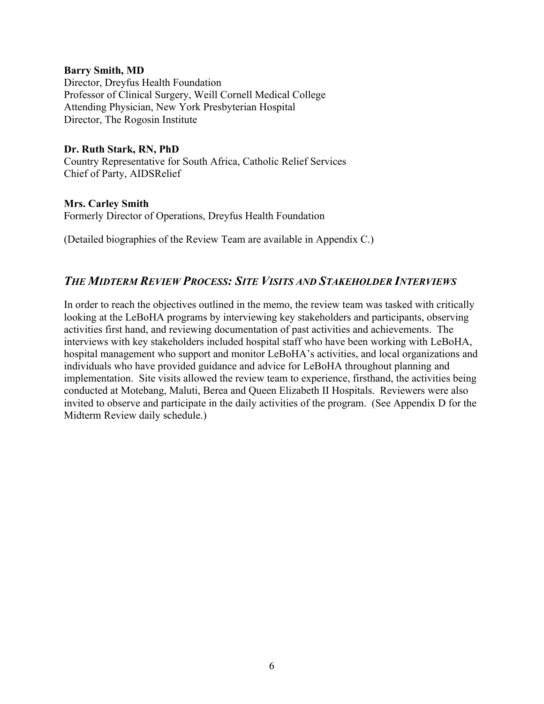#### **Barry Smith, MD**

Director, Dreyfus Health Foundation Professor of Clinical Surgery, Weill Cornell Medical College Attending Physician, New York Presbyterian Hospital Director, The Rogosin Institute

## **Dr. Ruth Stark, RN, PhD**

Country Representative for South Africa, Catholic Relief Services Chief of Party, AIDSRelief

#### **Mrs. Carley Smith** Formerly Director of Operations, Dreyfus Health Foundation

(Detailed biographies of the Review Team are available in Appendix C.)

#### *THE MIDTERM REVIEW PROCESS: SITE VISITS AND STAKEHOLDER INTERVIEWS*

In order to reach the objectives outlined in the memo, the review team was tasked with critically looking at the LeBoHA programs by interviewing key stakeholders and participants, observing activities first hand, and reviewing documentation of past activities and achievements. The interviews with key stakeholders included hospital staff who have been working with LeBoHA, hospital management who support and monitor LeBoHA's activities, and local organizations and individuals who have provided guidance and advice for LeBoHA throughout planning and implementation. Site visits allowed the review team to experience, firsthand, the activities being conducted at Motebang, Maluti, Berea and Queen Elizabeth II Hospitals. Reviewers were also invited to observe and participate in the daily activities of the program. (See Appendix D for the Midterm Review daily schedule.)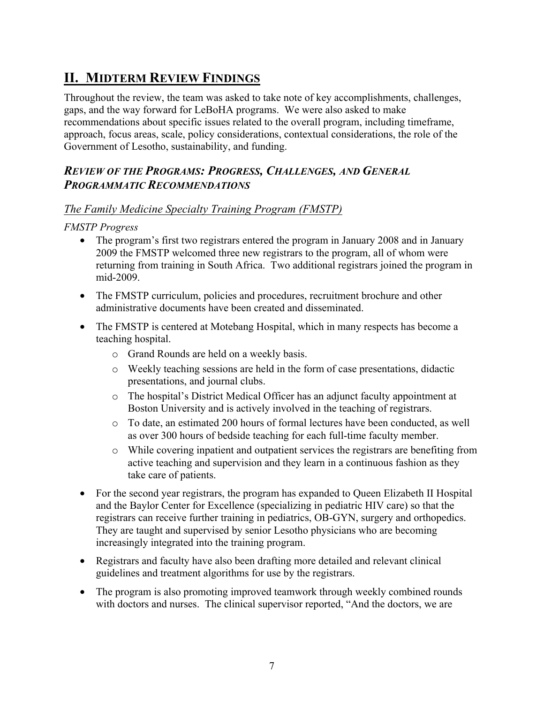## **II. MIDTERM REVIEW FINDINGS**

Throughout the review, the team was asked to take note of key accomplishments, challenges, gaps, and the way forward for LeBoHA programs. We were also asked to make recommendations about specific issues related to the overall program, including timeframe, approach, focus areas, scale, policy considerations, contextual considerations, the role of the Government of Lesotho, sustainability, and funding.

#### *REVIEW OF THE PROGRAMS: PROGRESS, CHALLENGES, AND GENERAL PROGRAMMATIC RECOMMENDATIONS*

#### *The Family Medicine Specialty Training Program (FMSTP)*

*FMSTP Progress* 

- The program's first two registrars entered the program in January 2008 and in January 2009 the FMSTP welcomed three new registrars to the program, all of whom were returning from training in South Africa. Two additional registrars joined the program in mid-2009.
- The FMSTP curriculum, policies and procedures, recruitment brochure and other administrative documents have been created and disseminated.
- The FMSTP is centered at Motebang Hospital, which in many respects has become a teaching hospital.
	- o Grand Rounds are held on a weekly basis.
	- o Weekly teaching sessions are held in the form of case presentations, didactic presentations, and journal clubs.
	- o The hospital's District Medical Officer has an adjunct faculty appointment at Boston University and is actively involved in the teaching of registrars.
	- o To date, an estimated 200 hours of formal lectures have been conducted, as well as over 300 hours of bedside teaching for each full-time faculty member.
	- o While covering inpatient and outpatient services the registrars are benefiting from active teaching and supervision and they learn in a continuous fashion as they take care of patients.
- For the second year registrars, the program has expanded to Queen Elizabeth II Hospital and the Baylor Center for Excellence (specializing in pediatric HIV care) so that the registrars can receive further training in pediatrics, OB-GYN, surgery and orthopedics. They are taught and supervised by senior Lesotho physicians who are becoming increasingly integrated into the training program.
- Registrars and faculty have also been drafting more detailed and relevant clinical guidelines and treatment algorithms for use by the registrars.
- The program is also promoting improved teamwork through weekly combined rounds with doctors and nurses. The clinical supervisor reported, "And the doctors, we are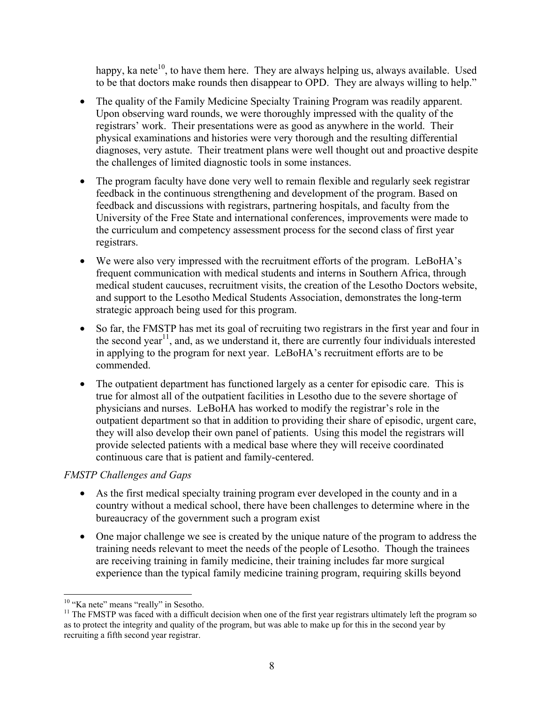happy, ka nete $10$ , to have them here. They are always helping us, always available. Used to be that doctors make rounds then disappear to OPD. They are always willing to help."

- The quality of the Family Medicine Specialty Training Program was readily apparent. Upon observing ward rounds, we were thoroughly impressed with the quality of the registrars' work. Their presentations were as good as anywhere in the world. Their physical examinations and histories were very thorough and the resulting differential diagnoses, very astute. Their treatment plans were well thought out and proactive despite the challenges of limited diagnostic tools in some instances.
- The program faculty have done very well to remain flexible and regularly seek registrar feedback in the continuous strengthening and development of the program. Based on feedback and discussions with registrars, partnering hospitals, and faculty from the University of the Free State and international conferences, improvements were made to the curriculum and competency assessment process for the second class of first year registrars.
- We were also very impressed with the recruitment efforts of the program. LeBoHA's frequent communication with medical students and interns in Southern Africa, through medical student caucuses, recruitment visits, the creation of the Lesotho Doctors website, and support to the Lesotho Medical Students Association, demonstrates the long-term strategic approach being used for this program.
- So far, the FMSTP has met its goal of recruiting two registrars in the first year and four in the second year<sup>11</sup>, and, as we understand it, there are currently four individuals interested in applying to the program for next year. LeBoHA's recruitment efforts are to be commended.
- The outpatient department has functioned largely as a center for episodic care. This is true for almost all of the outpatient facilities in Lesotho due to the severe shortage of physicians and nurses. LeBoHA has worked to modify the registrar's role in the outpatient department so that in addition to providing their share of episodic, urgent care, they will also develop their own panel of patients. Using this model the registrars will provide selected patients with a medical base where they will receive coordinated continuous care that is patient and family-centered.

#### *FMSTP Challenges and Gaps*

- As the first medical specialty training program ever developed in the county and in a country without a medical school, there have been challenges to determine where in the bureaucracy of the government such a program exist
- One major challenge we see is created by the unique nature of the program to address the training needs relevant to meet the needs of the people of Lesotho. Though the trainees are receiving training in family medicine, their training includes far more surgical experience than the typical family medicine training program, requiring skills beyond

<sup>&</sup>lt;sup>10</sup> "Ka nete" means "really" in Sesotho.

 $11$  The FMSTP was faced with a difficult decision when one of the first year registrars ultimately left the program so as to protect the integrity and quality of the program, but was able to make up for this in the second year by recruiting a fifth second year registrar.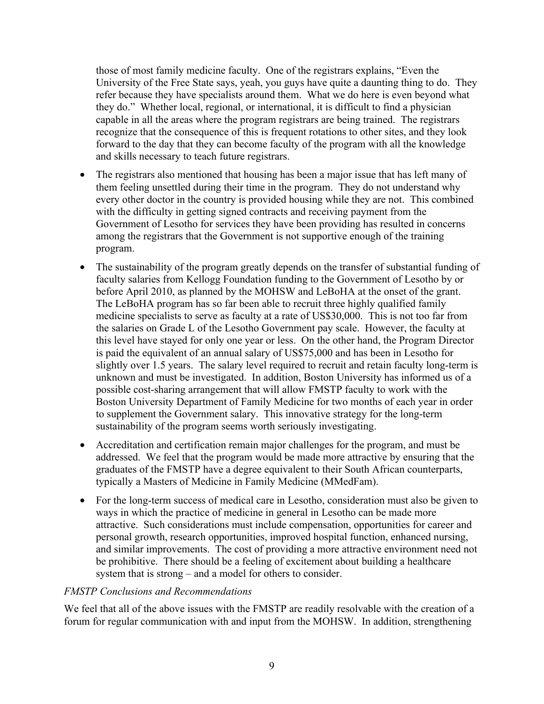those of most family medicine faculty. One of the registrars explains, "Even the University of the Free State says, yeah, you guys have quite a daunting thing to do. They refer because they have specialists around them. What we do here is even beyond what they do." Whether local, regional, or international, it is difficult to find a physician capable in all the areas where the program registrars are being trained. The registrars recognize that the consequence of this is frequent rotations to other sites, and they look forward to the day that they can become faculty of the program with all the knowledge and skills necessary to teach future registrars.

- The registrars also mentioned that housing has been a major issue that has left many of them feeling unsettled during their time in the program. They do not understand why every other doctor in the country is provided housing while they are not. This combined with the difficulty in getting signed contracts and receiving payment from the Government of Lesotho for services they have been providing has resulted in concerns among the registrars that the Government is not supportive enough of the training program.
- The sustainability of the program greatly depends on the transfer of substantial funding of faculty salaries from Kellogg Foundation funding to the Government of Lesotho by or before April 2010, as planned by the MOHSW and LeBoHA at the onset of the grant. The LeBoHA program has so far been able to recruit three highly qualified family medicine specialists to serve as faculty at a rate of US\$30,000. This is not too far from the salaries on Grade L of the Lesotho Government pay scale. However, the faculty at this level have stayed for only one year or less. On the other hand, the Program Director is paid the equivalent of an annual salary of US\$75,000 and has been in Lesotho for slightly over 1.5 years. The salary level required to recruit and retain faculty long-term is unknown and must be investigated. In addition, Boston University has informed us of a possible cost-sharing arrangement that will allow FMSTP faculty to work with the Boston University Department of Family Medicine for two months of each year in order to supplement the Government salary. This innovative strategy for the long-term sustainability of the program seems worth seriously investigating.
- Accreditation and certification remain major challenges for the program, and must be addressed. We feel that the program would be made more attractive by ensuring that the graduates of the FMSTP have a degree equivalent to their South African counterparts, typically a Masters of Medicine in Family Medicine (MMedFam).
- For the long-term success of medical care in Lesotho, consideration must also be given to ways in which the practice of medicine in general in Lesotho can be made more attractive. Such considerations must include compensation, opportunities for career and personal growth, research opportunities, improved hospital function, enhanced nursing, and similar improvements. The cost of providing a more attractive environment need not be prohibitive. There should be a feeling of excitement about building a healthcare system that is strong – and a model for others to consider.

#### *FMSTP Conclusions and Recommendations*

We feel that all of the above issues with the FMSTP are readily resolvable with the creation of a forum for regular communication with and input from the MOHSW. In addition, strengthening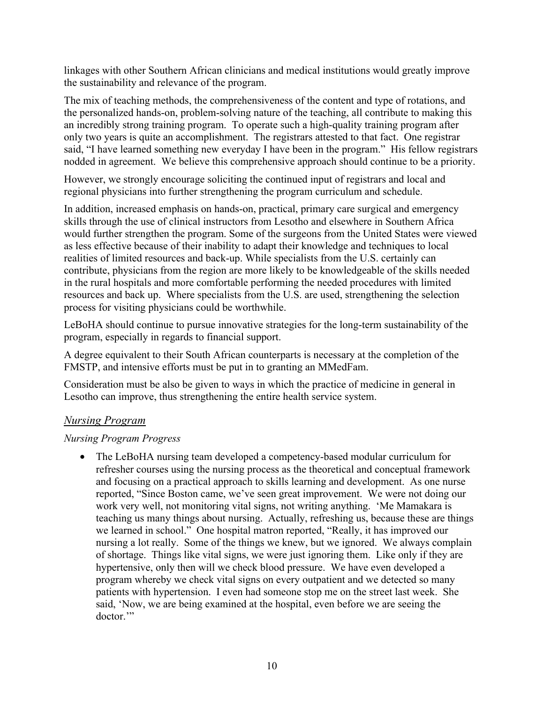linkages with other Southern African clinicians and medical institutions would greatly improve the sustainability and relevance of the program.

The mix of teaching methods, the comprehensiveness of the content and type of rotations, and the personalized hands-on, problem-solving nature of the teaching, all contribute to making this an incredibly strong training program. To operate such a high-quality training program after only two years is quite an accomplishment. The registrars attested to that fact. One registrar said, "I have learned something new everyday I have been in the program." His fellow registrars nodded in agreement. We believe this comprehensive approach should continue to be a priority.

However, we strongly encourage soliciting the continued input of registrars and local and regional physicians into further strengthening the program curriculum and schedule.

In addition, increased emphasis on hands-on, practical, primary care surgical and emergency skills through the use of clinical instructors from Lesotho and elsewhere in Southern Africa would further strengthen the program. Some of the surgeons from the United States were viewed as less effective because of their inability to adapt their knowledge and techniques to local realities of limited resources and back-up. While specialists from the U.S. certainly can contribute, physicians from the region are more likely to be knowledgeable of the skills needed in the rural hospitals and more comfortable performing the needed procedures with limited resources and back up. Where specialists from the U.S. are used, strengthening the selection process for visiting physicians could be worthwhile.

LeBoHA should continue to pursue innovative strategies for the long-term sustainability of the program, especially in regards to financial support.

A degree equivalent to their South African counterparts is necessary at the completion of the FMSTP, and intensive efforts must be put in to granting an MMedFam.

Consideration must be also be given to ways in which the practice of medicine in general in Lesotho can improve, thus strengthening the entire health service system.

#### *Nursing Program*

#### *Nursing Program Progress*

• The LeBoHA nursing team developed a competency-based modular curriculum for refresher courses using the nursing process as the theoretical and conceptual framework and focusing on a practical approach to skills learning and development. As one nurse reported, "Since Boston came, we've seen great improvement. We were not doing our work very well, not monitoring vital signs, not writing anything. 'Me Mamakara is teaching us many things about nursing. Actually, refreshing us, because these are things we learned in school." One hospital matron reported, "Really, it has improved our nursing a lot really. Some of the things we knew, but we ignored. We always complain of shortage. Things like vital signs, we were just ignoring them. Like only if they are hypertensive, only then will we check blood pressure. We have even developed a program whereby we check vital signs on every outpatient and we detected so many patients with hypertension. I even had someone stop me on the street last week. She said, 'Now, we are being examined at the hospital, even before we are seeing the doctor.'"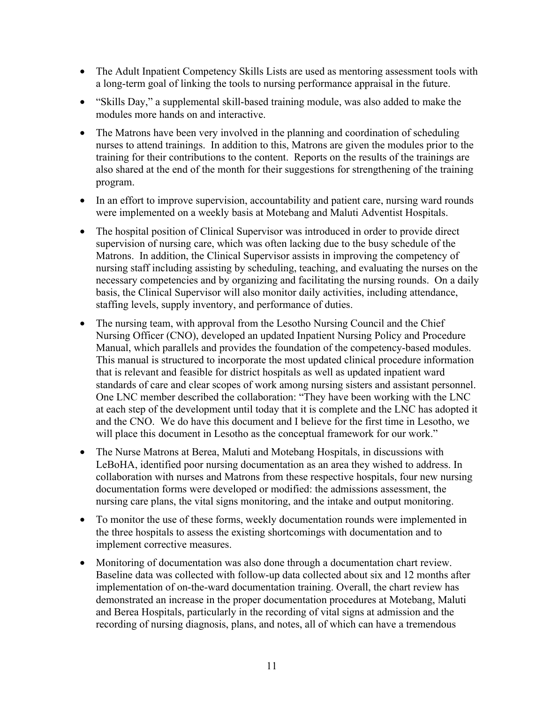- The Adult Inpatient Competency Skills Lists are used as mentoring assessment tools with a long-term goal of linking the tools to nursing performance appraisal in the future.
- "Skills Day," a supplemental skill-based training module, was also added to make the modules more hands on and interactive.
- The Matrons have been very involved in the planning and coordination of scheduling nurses to attend trainings. In addition to this, Matrons are given the modules prior to the training for their contributions to the content. Reports on the results of the trainings are also shared at the end of the month for their suggestions for strengthening of the training program.
- In an effort to improve supervision, accountability and patient care, nursing ward rounds were implemented on a weekly basis at Motebang and Maluti Adventist Hospitals.
- The hospital position of Clinical Supervisor was introduced in order to provide direct supervision of nursing care, which was often lacking due to the busy schedule of the Matrons. In addition, the Clinical Supervisor assists in improving the competency of nursing staff including assisting by scheduling, teaching, and evaluating the nurses on the necessary competencies and by organizing and facilitating the nursing rounds. On a daily basis, the Clinical Supervisor will also monitor daily activities, including attendance, staffing levels, supply inventory, and performance of duties.
- The nursing team, with approval from the Lesotho Nursing Council and the Chief Nursing Officer (CNO), developed an updated Inpatient Nursing Policy and Procedure Manual, which parallels and provides the foundation of the competency-based modules. This manual is structured to incorporate the most updated clinical procedure information that is relevant and feasible for district hospitals as well as updated inpatient ward standards of care and clear scopes of work among nursing sisters and assistant personnel. One LNC member described the collaboration: "They have been working with the LNC at each step of the development until today that it is complete and the LNC has adopted it and the CNO. We do have this document and I believe for the first time in Lesotho, we will place this document in Lesotho as the conceptual framework for our work."
- The Nurse Matrons at Berea, Maluti and Motebang Hospitals, in discussions with LeBoHA, identified poor nursing documentation as an area they wished to address. In collaboration with nurses and Matrons from these respective hospitals, four new nursing documentation forms were developed or modified: the admissions assessment, the nursing care plans, the vital signs monitoring, and the intake and output monitoring.
- To monitor the use of these forms, weekly documentation rounds were implemented in the three hospitals to assess the existing shortcomings with documentation and to implement corrective measures.
- Monitoring of documentation was also done through a documentation chart review. Baseline data was collected with follow-up data collected about six and 12 months after implementation of on-the-ward documentation training. Overall, the chart review has demonstrated an increase in the proper documentation procedures at Motebang, Maluti and Berea Hospitals, particularly in the recording of vital signs at admission and the recording of nursing diagnosis, plans, and notes, all of which can have a tremendous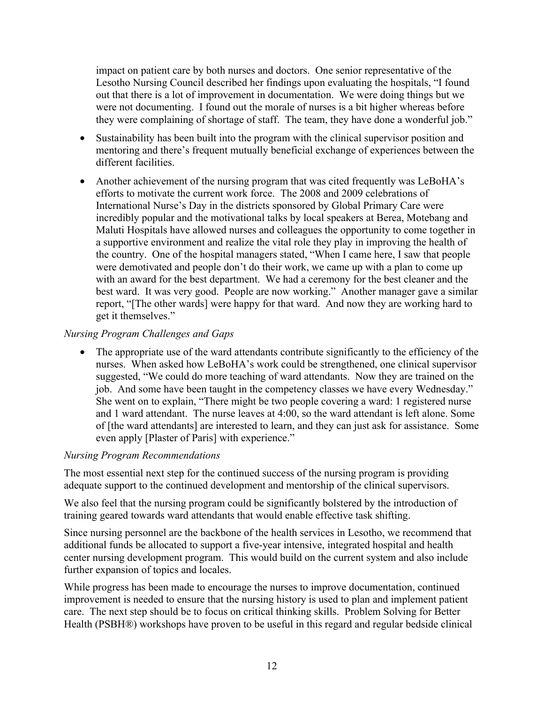impact on patient care by both nurses and doctors. One senior representative of the Lesotho Nursing Council described her findings upon evaluating the hospitals, "I found out that there is a lot of improvement in documentation. We were doing things but we were not documenting. I found out the morale of nurses is a bit higher whereas before they were complaining of shortage of staff. The team, they have done a wonderful job."

- Sustainability has been built into the program with the clinical supervisor position and mentoring and there's frequent mutually beneficial exchange of experiences between the different facilities.
- Another achievement of the nursing program that was cited frequently was LeBoHA's efforts to motivate the current work force. The 2008 and 2009 celebrations of International Nurse's Day in the districts sponsored by Global Primary Care were incredibly popular and the motivational talks by local speakers at Berea, Motebang and Maluti Hospitals have allowed nurses and colleagues the opportunity to come together in a supportive environment and realize the vital role they play in improving the health of the country. One of the hospital managers stated, "When I came here, I saw that people were demotivated and people don't do their work, we came up with a plan to come up with an award for the best department. We had a ceremony for the best cleaner and the best ward. It was very good. People are now working." Another manager gave a similar report, "[The other wards] were happy for that ward. And now they are working hard to get it themselves."

#### *Nursing Program Challenges and Gaps*

• The appropriate use of the ward attendants contribute significantly to the efficiency of the nurses. When asked how LeBoHA's work could be strengthened, one clinical supervisor suggested, "We could do more teaching of ward attendants. Now they are trained on the job. And some have been taught in the competency classes we have every Wednesday." She went on to explain, "There might be two people covering a ward: 1 registered nurse and 1 ward attendant. The nurse leaves at 4:00, so the ward attendant is left alone. Some of [the ward attendants] are interested to learn, and they can just ask for assistance. Some even apply [Plaster of Paris] with experience."

#### *Nursing Program Recommendations*

The most essential next step for the continued success of the nursing program is providing adequate support to the continued development and mentorship of the clinical supervisors.

We also feel that the nursing program could be significantly bolstered by the introduction of training geared towards ward attendants that would enable effective task shifting.

Since nursing personnel are the backbone of the health services in Lesotho, we recommend that additional funds be allocated to support a five-year intensive, integrated hospital and health center nursing development program. This would build on the current system and also include further expansion of topics and locales.

While progress has been made to encourage the nurses to improve documentation, continued improvement is needed to ensure that the nursing history is used to plan and implement patient care. The next step should be to focus on critical thinking skills. Problem Solving for Better Health (PSBH®) workshops have proven to be useful in this regard and regular bedside clinical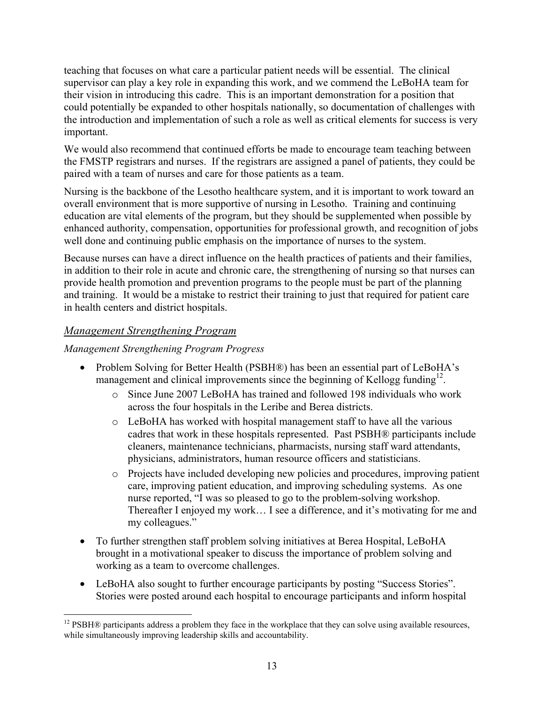teaching that focuses on what care a particular patient needs will be essential. The clinical supervisor can play a key role in expanding this work, and we commend the LeBoHA team for their vision in introducing this cadre. This is an important demonstration for a position that could potentially be expanded to other hospitals nationally, so documentation of challenges with the introduction and implementation of such a role as well as critical elements for success is very important.

We would also recommend that continued efforts be made to encourage team teaching between the FMSTP registrars and nurses. If the registrars are assigned a panel of patients, they could be paired with a team of nurses and care for those patients as a team.

Nursing is the backbone of the Lesotho healthcare system, and it is important to work toward an overall environment that is more supportive of nursing in Lesotho. Training and continuing education are vital elements of the program, but they should be supplemented when possible by enhanced authority, compensation, opportunities for professional growth, and recognition of jobs well done and continuing public emphasis on the importance of nurses to the system.

Because nurses can have a direct influence on the health practices of patients and their families, in addition to their role in acute and chronic care, the strengthening of nursing so that nurses can provide health promotion and prevention programs to the people must be part of the planning and training. It would be a mistake to restrict their training to just that required for patient care in health centers and district hospitals.

#### *Management Strengthening Program*

#### *Management Strengthening Program Progress*

- Problem Solving for Better Health (PSBH®) has been an essential part of LeBoHA's management and clinical improvements since the beginning of Kellogg funding<sup>12</sup>.
	- o Since June 2007 LeBoHA has trained and followed 198 individuals who work across the four hospitals in the Leribe and Berea districts.
	- o LeBoHA has worked with hospital management staff to have all the various cadres that work in these hospitals represented. Past PSBH® participants include cleaners, maintenance technicians, pharmacists, nursing staff ward attendants, physicians, administrators, human resource officers and statisticians.
	- o Projects have included developing new policies and procedures, improving patient care, improving patient education, and improving scheduling systems. As one nurse reported, "I was so pleased to go to the problem-solving workshop. Thereafter I enjoyed my work… I see a difference, and it's motivating for me and my colleagues."
- To further strengthen staff problem solving initiatives at Berea Hospital, LeBoHA brought in a motivational speaker to discuss the importance of problem solving and working as a team to overcome challenges.
- LeBoHA also sought to further encourage participants by posting "Success Stories". Stories were posted around each hospital to encourage participants and inform hospital

 $12$  PSBH® participants address a problem they face in the workplace that they can solve using available resources, while simultaneously improving leadership skills and accountability.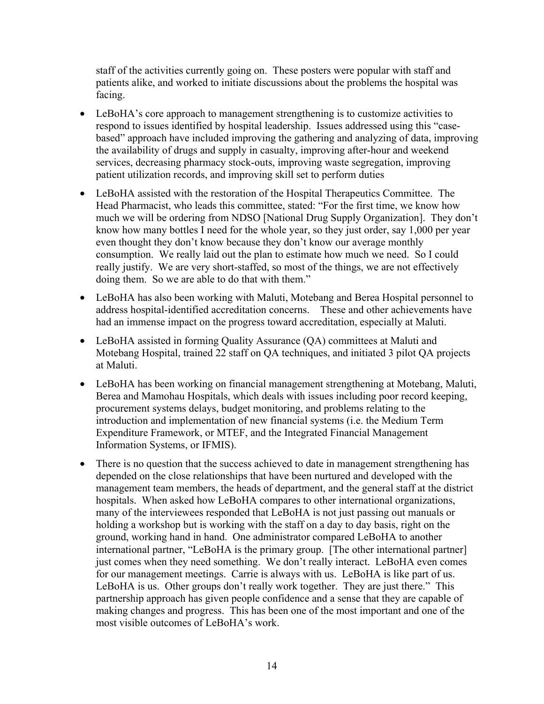staff of the activities currently going on. These posters were popular with staff and patients alike, and worked to initiate discussions about the problems the hospital was facing.

- LeBoHA's core approach to management strengthening is to customize activities to respond to issues identified by hospital leadership. Issues addressed using this "casebased" approach have included improving the gathering and analyzing of data, improving the availability of drugs and supply in casualty, improving after-hour and weekend services, decreasing pharmacy stock-outs, improving waste segregation, improving patient utilization records, and improving skill set to perform duties
- LeBoHA assisted with the restoration of the Hospital Therapeutics Committee. The Head Pharmacist, who leads this committee, stated: "For the first time, we know how much we will be ordering from NDSO [National Drug Supply Organization]. They don't know how many bottles I need for the whole year, so they just order, say 1,000 per year even thought they don't know because they don't know our average monthly consumption. We really laid out the plan to estimate how much we need. So I could really justify. We are very short-staffed, so most of the things, we are not effectively doing them. So we are able to do that with them."
- LeBoHA has also been working with Maluti, Motebang and Berea Hospital personnel to address hospital-identified accreditation concerns. These and other achievements have had an immense impact on the progress toward accreditation, especially at Maluti.
- LeBoHA assisted in forming Quality Assurance (QA) committees at Maluti and Motebang Hospital, trained 22 staff on QA techniques, and initiated 3 pilot QA projects at Maluti.
- LeBoHA has been working on financial management strengthening at Motebang, Maluti, Berea and Mamohau Hospitals, which deals with issues including poor record keeping, procurement systems delays, budget monitoring, and problems relating to the introduction and implementation of new financial systems (i.e. the Medium Term Expenditure Framework, or MTEF, and the Integrated Financial Management Information Systems, or IFMIS).
- There is no question that the success achieved to date in management strengthening has depended on the close relationships that have been nurtured and developed with the management team members, the heads of department, and the general staff at the district hospitals. When asked how LeBoHA compares to other international organizations, many of the interviewees responded that LeBoHA is not just passing out manuals or holding a workshop but is working with the staff on a day to day basis, right on the ground, working hand in hand. One administrator compared LeBoHA to another international partner, "LeBoHA is the primary group. [The other international partner] just comes when they need something. We don't really interact. LeBoHA even comes for our management meetings. Carrie is always with us. LeBoHA is like part of us. LeBoHA is us. Other groups don't really work together. They are just there." This partnership approach has given people confidence and a sense that they are capable of making changes and progress. This has been one of the most important and one of the most visible outcomes of LeBoHA's work.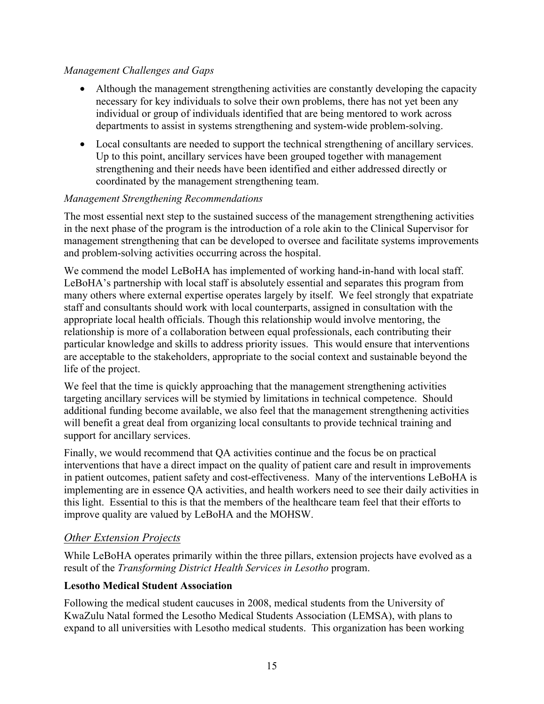#### *Management Challenges and Gaps*

- Although the management strengthening activities are constantly developing the capacity necessary for key individuals to solve their own problems, there has not yet been any individual or group of individuals identified that are being mentored to work across departments to assist in systems strengthening and system-wide problem-solving.
- Local consultants are needed to support the technical strengthening of ancillary services. Up to this point, ancillary services have been grouped together with management strengthening and their needs have been identified and either addressed directly or coordinated by the management strengthening team.

#### *Management Strengthening Recommendations*

The most essential next step to the sustained success of the management strengthening activities in the next phase of the program is the introduction of a role akin to the Clinical Supervisor for management strengthening that can be developed to oversee and facilitate systems improvements and problem-solving activities occurring across the hospital.

We commend the model LeBoHA has implemented of working hand-in-hand with local staff. LeBoHA's partnership with local staff is absolutely essential and separates this program from many others where external expertise operates largely by itself. We feel strongly that expatriate staff and consultants should work with local counterparts, assigned in consultation with the appropriate local health officials. Though this relationship would involve mentoring, the relationship is more of a collaboration between equal professionals, each contributing their particular knowledge and skills to address priority issues. This would ensure that interventions are acceptable to the stakeholders, appropriate to the social context and sustainable beyond the life of the project.

We feel that the time is quickly approaching that the management strengthening activities targeting ancillary services will be stymied by limitations in technical competence. Should additional funding become available, we also feel that the management strengthening activities will benefit a great deal from organizing local consultants to provide technical training and support for ancillary services.

Finally, we would recommend that QA activities continue and the focus be on practical interventions that have a direct impact on the quality of patient care and result in improvements in patient outcomes, patient safety and cost-effectiveness. Many of the interventions LeBoHA is implementing are in essence QA activities, and health workers need to see their daily activities in this light. Essential to this is that the members of the healthcare team feel that their efforts to improve quality are valued by LeBoHA and the MOHSW.

#### *Other Extension Projects*

While LeBoHA operates primarily within the three pillars, extension projects have evolved as a result of the *Transforming District Health Services in Lesotho* program.

#### **Lesotho Medical Student Association**

Following the medical student caucuses in 2008, medical students from the University of KwaZulu Natal formed the Lesotho Medical Students Association (LEMSA), with plans to expand to all universities with Lesotho medical students. This organization has been working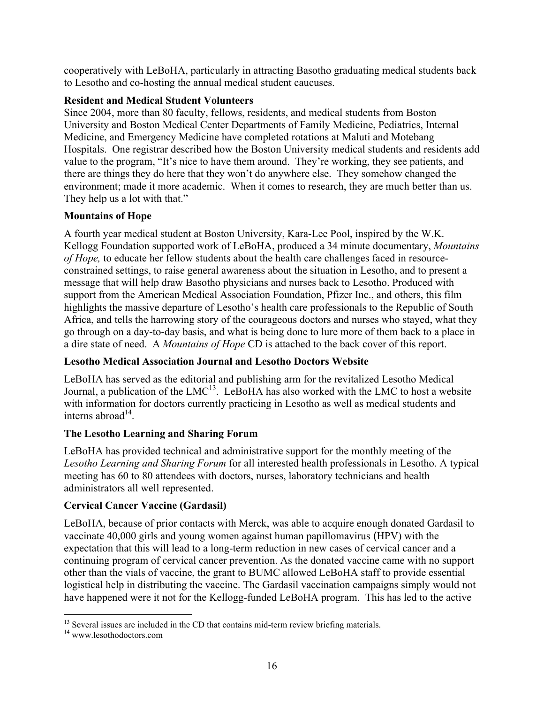cooperatively with LeBoHA, particularly in attracting Basotho graduating medical students back to Lesotho and co-hosting the annual medical student caucuses.

#### **Resident and Medical Student Volunteers**

Since 2004, more than 80 faculty, fellows, residents, and medical students from Boston University and Boston Medical Center Departments of Family Medicine, Pediatrics, Internal Medicine, and Emergency Medicine have completed rotations at Maluti and Motebang Hospitals. One registrar described how the Boston University medical students and residents add value to the program, "It's nice to have them around. They're working, they see patients, and there are things they do here that they won't do anywhere else. They somehow changed the environment; made it more academic. When it comes to research, they are much better than us. They help us a lot with that."

#### **Mountains of Hope**

A fourth year medical student at Boston University, Kara-Lee Pool, inspired by the W.K. Kellogg Foundation supported work of LeBoHA, produced a 34 minute documentary, *Mountains of Hope,* to educate her fellow students about the health care challenges faced in resourceconstrained settings, to raise general awareness about the situation in Lesotho, and to present a message that will help draw Basotho physicians and nurses back to Lesotho. Produced with support from the American Medical Association Foundation, Pfizer Inc., and others, this film highlights the massive departure of Lesotho's health care professionals to the Republic of South Africa, and tells the harrowing story of the courageous doctors and nurses who stayed, what they go through on a day-to-day basis, and what is being done to lure more of them back to a place in a dire state of need. A *Mountains of Hope* CD is attached to the back cover of this report.

#### **Lesotho Medical Association Journal and Lesotho Doctors Website**

LeBoHA has served as the editorial and publishing arm for the revitalized Lesotho Medical Journal, a publication of the  $LMC^{13}$ . LeBoHA has also worked with the LMC to host a website with information for doctors currently practicing in Lesotho as well as medical students and interns abroad $14$ .

#### **The Lesotho Learning and Sharing Forum**

LeBoHA has provided technical and administrative support for the monthly meeting of the *Lesotho Learning and Sharing Forum* for all interested health professionals in Lesotho. A typical meeting has 60 to 80 attendees with doctors, nurses, laboratory technicians and health administrators all well represented.

#### **Cervical Cancer Vaccine (Gardasil)**

LeBoHA, because of prior contacts with Merck, was able to acquire enough donated Gardasil to vaccinate 40,000 girls and young women against human papillomavirus (HPV) with the expectation that this will lead to a long-term reduction in new cases of cervical cancer and a continuing program of cervical cancer prevention. As the donated vaccine came with no support other than the vials of vaccine, the grant to BUMC allowed LeBoHA staff to provide essential logistical help in distributing the vaccine. The Gardasil vaccination campaigns simply would not have happened were it not for the Kellogg-funded LeBoHA program. This has led to the active

 $13$  Several issues are included in the CD that contains mid-term review briefing materials.  $14$  www.lesothodoctors.com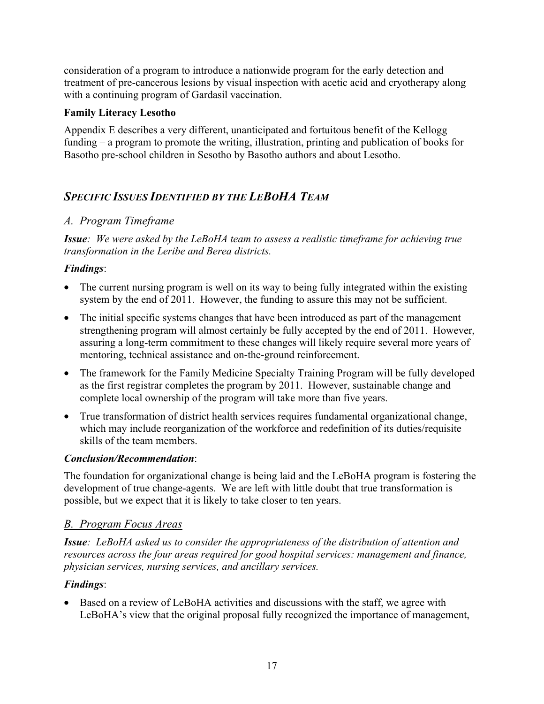consideration of a program to introduce a nationwide program for the early detection and treatment of pre-cancerous lesions by visual inspection with acetic acid and cryotherapy along with a continuing program of Gardasil vaccination.

#### **Family Literacy Lesotho**

Appendix E describes a very different, unanticipated and fortuitous benefit of the Kellogg funding – a program to promote the writing, illustration, printing and publication of books for Basotho pre-school children in Sesotho by Basotho authors and about Lesotho.

### *SPECIFIC ISSUES IDENTIFIED BY THE LEBOHA TEAM*

#### *A. Program Timeframe*

*Issue: We were asked by the LeBoHA team to assess a realistic timeframe for achieving true transformation in the Leribe and Berea districts.*

#### *Findings*:

- The current nursing program is well on its way to being fully integrated within the existing system by the end of 2011. However, the funding to assure this may not be sufficient.
- The initial specific systems changes that have been introduced as part of the management strengthening program will almost certainly be fully accepted by the end of 2011. However, assuring a long-term commitment to these changes will likely require several more years of mentoring, technical assistance and on-the-ground reinforcement.
- The framework for the Family Medicine Specialty Training Program will be fully developed as the first registrar completes the program by 2011. However, sustainable change and complete local ownership of the program will take more than five years.
- True transformation of district health services requires fundamental organizational change, which may include reorganization of the workforce and redefinition of its duties/requisite skills of the team members.

#### *Conclusion/Recommendation*:

The foundation for organizational change is being laid and the LeBoHA program is fostering the development of true change-agents. We are left with little doubt that true transformation is possible, but we expect that it is likely to take closer to ten years.

#### *B. Program Focus Areas*

*Issue: LeBoHA asked us to consider the appropriateness of the distribution of attention and resources across the four areas required for good hospital services: management and finance, physician services, nursing services, and ancillary services.* 

#### *Findings*:

• Based on a review of LeBoHA activities and discussions with the staff, we agree with LeBoHA's view that the original proposal fully recognized the importance of management,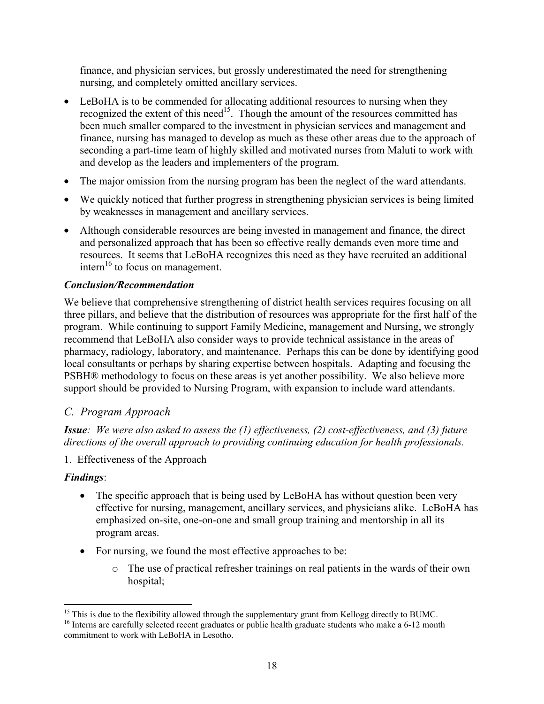finance, and physician services, but grossly underestimated the need for strengthening nursing, and completely omitted ancillary services.

- LeBoHA is to be commended for allocating additional resources to nursing when they recognized the extent of this need<sup>15</sup>. Though the amount of the resources committed has been much smaller compared to the investment in physician services and management and finance, nursing has managed to develop as much as these other areas due to the approach of seconding a part-time team of highly skilled and motivated nurses from Maluti to work with and develop as the leaders and implementers of the program.
- The major omission from the nursing program has been the neglect of the ward attendants.
- We quickly noticed that further progress in strengthening physician services is being limited by weaknesses in management and ancillary services.
- Although considerable resources are being invested in management and finance, the direct and personalized approach that has been so effective really demands even more time and resources. It seems that LeBoHA recognizes this need as they have recruited an additional  $\text{inter}^{\,16}$  to focus on management.

#### *Conclusion/Recommendation*

We believe that comprehensive strengthening of district health services requires focusing on all three pillars, and believe that the distribution of resources was appropriate for the first half of the program. While continuing to support Family Medicine, management and Nursing, we strongly recommend that LeBoHA also consider ways to provide technical assistance in the areas of pharmacy, radiology, laboratory, and maintenance. Perhaps this can be done by identifying good local consultants or perhaps by sharing expertise between hospitals. Adapting and focusing the PSBH® methodology to focus on these areas is yet another possibility. We also believe more support should be provided to Nursing Program, with expansion to include ward attendants.

#### *C. Program Approach*

*Issue: We were also asked to assess the (1) effectiveness, (2) cost-effectiveness, and (3) future directions of the overall approach to providing continuing education for health professionals.* 

#### 1. Effectiveness of the Approach

#### *Findings*:

- The specific approach that is being used by LeBoHA has without question been very effective for nursing, management, ancillary services, and physicians alike. LeBoHA has emphasized on-site, one-on-one and small group training and mentorship in all its program areas.
- For nursing, we found the most effective approaches to be:
	- o The use of practical refresher trainings on real patients in the wards of their own hospital;

 $15$  This is due to the flexibility allowed through the supplementary grant from Kellogg directly to BUMC.

<sup>&</sup>lt;sup>16</sup> Interns are carefully selected recent graduates or public health graduate students who make a 6-12 month commitment to work with LeBoHA in Lesotho.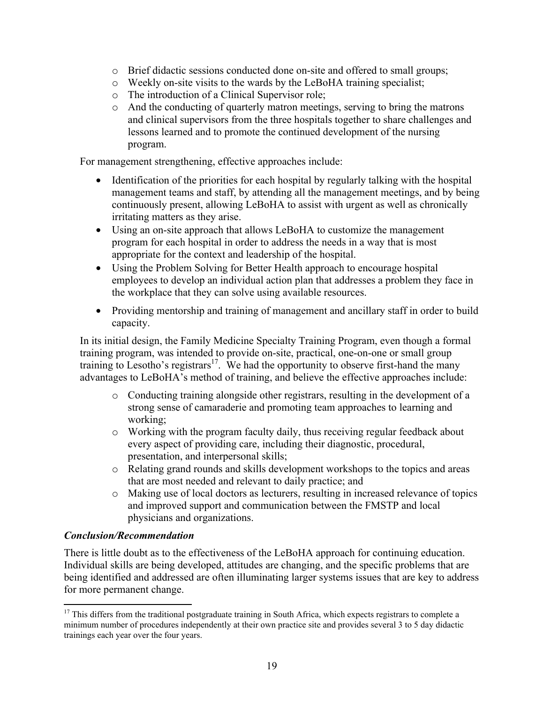- o Brief didactic sessions conducted done on-site and offered to small groups;
- o Weekly on-site visits to the wards by the LeBoHA training specialist;
- o The introduction of a Clinical Supervisor role;
- o And the conducting of quarterly matron meetings, serving to bring the matrons and clinical supervisors from the three hospitals together to share challenges and lessons learned and to promote the continued development of the nursing program.

For management strengthening, effective approaches include:

- Identification of the priorities for each hospital by regularly talking with the hospital management teams and staff, by attending all the management meetings, and by being continuously present, allowing LeBoHA to assist with urgent as well as chronically irritating matters as they arise.
- Using an on-site approach that allows LeBoHA to customize the management program for each hospital in order to address the needs in a way that is most appropriate for the context and leadership of the hospital.
- Using the Problem Solving for Better Health approach to encourage hospital employees to develop an individual action plan that addresses a problem they face in the workplace that they can solve using available resources.
- Providing mentorship and training of management and ancillary staff in order to build capacity.

In its initial design, the Family Medicine Specialty Training Program, even though a formal training program, was intended to provide on-site, practical, one-on-one or small group training to Lesotho's registrars<sup>17</sup>. We had the opportunity to observe first-hand the many advantages to LeBoHA's method of training, and believe the effective approaches include:

- o Conducting training alongside other registrars, resulting in the development of a strong sense of camaraderie and promoting team approaches to learning and working;
- o Working with the program faculty daily, thus receiving regular feedback about every aspect of providing care, including their diagnostic, procedural, presentation, and interpersonal skills;
- o Relating grand rounds and skills development workshops to the topics and areas that are most needed and relevant to daily practice; and
- o Making use of local doctors as lecturers, resulting in increased relevance of topics and improved support and communication between the FMSTP and local physicians and organizations.

#### *Conclusion/Recommendation*

There is little doubt as to the effectiveness of the LeBoHA approach for continuing education. Individual skills are being developed, attitudes are changing, and the specific problems that are being identified and addressed are often illuminating larger systems issues that are key to address for more permanent change.

 $17$  This differs from the traditional postgraduate training in South Africa, which expects registrars to complete a minimum number of procedures independently at their own practice site and provides several 3 to 5 day didactic trainings each year over the four years.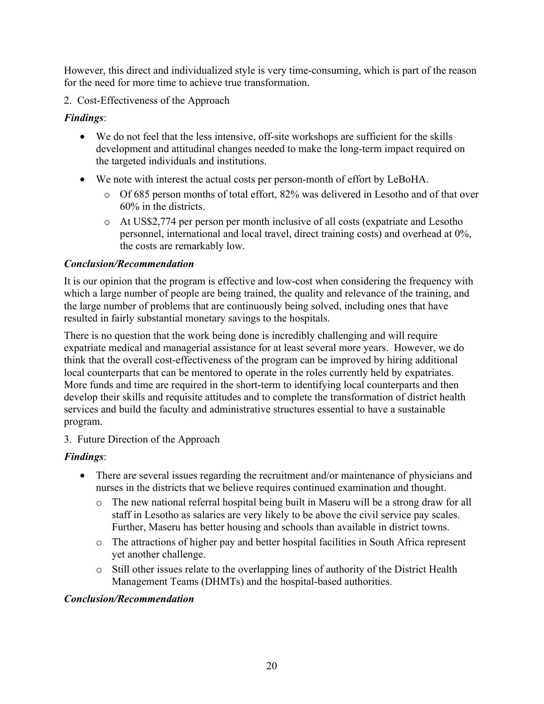However, this direct and individualized style is very time-consuming, which is part of the reason for the need for more time to achieve true transformation.

#### 2. Cost-Effectiveness of the Approach

#### *Findings*:

- We do not feel that the less intensive, off-site workshops are sufficient for the skills development and attitudinal changes needed to make the long-term impact required on the targeted individuals and institutions.
- We note with interest the actual costs per person-month of effort by LeBoHA.
	- o Of 685 person months of total effort, 82% was delivered in Lesotho and of that over 60% in the districts.
	- o At US\$2,774 per person per month inclusive of all costs (expatriate and Lesotho personnel, international and local travel, direct training costs) and overhead at 0%, the costs are remarkably low.

#### *Conclusion/Recommendation*

It is our opinion that the program is effective and low-cost when considering the frequency with which a large number of people are being trained, the quality and relevance of the training, and the large number of problems that are continuously being solved, including ones that have resulted in fairly substantial monetary savings to the hospitals.

There is no question that the work being done is incredibly challenging and will require expatriate medical and managerial assistance for at least several more years. However, we do think that the overall cost-effectiveness of the program can be improved by hiring additional local counterparts that can be mentored to operate in the roles currently held by expatriates. More funds and time are required in the short-term to identifying local counterparts and then develop their skills and requisite attitudes and to complete the transformation of district health services and build the faculty and administrative structures essential to have a sustainable program.

#### 3. Future Direction of the Approach

#### *Findings*:

- There are several issues regarding the recruitment and/or maintenance of physicians and nurses in the districts that we believe requires continued examination and thought.
	- o The new national referral hospital being built in Maseru will be a strong draw for all staff in Lesotho as salaries are very likely to be above the civil service pay scales. Further, Maseru has better housing and schools than available in district towns.
	- o The attractions of higher pay and better hospital facilities in South Africa represent yet another challenge.
	- o Still other issues relate to the overlapping lines of authority of the District Health Management Teams (DHMTs) and the hospital-based authorities.

#### *Conclusion/Recommendation*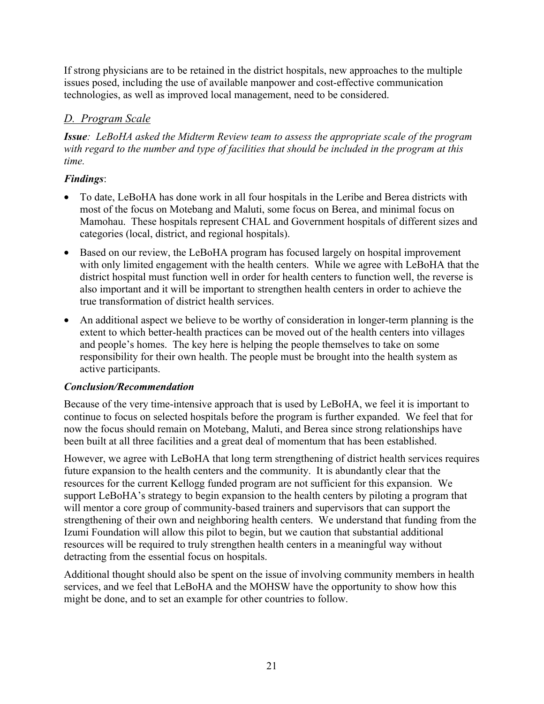If strong physicians are to be retained in the district hospitals, new approaches to the multiple issues posed, including the use of available manpower and cost-effective communication technologies, as well as improved local management, need to be considered.

#### *D. Program Scale*

*Issue: LeBoHA asked the Midterm Review team to assess the appropriate scale of the program with regard to the number and type of facilities that should be included in the program at this time.* 

#### *Findings*:

- To date, LeBoHA has done work in all four hospitals in the Leribe and Berea districts with most of the focus on Motebang and Maluti, some focus on Berea, and minimal focus on Mamohau. These hospitals represent CHAL and Government hospitals of different sizes and categories (local, district, and regional hospitals).
- Based on our review, the LeBoHA program has focused largely on hospital improvement with only limited engagement with the health centers. While we agree with LeBoHA that the district hospital must function well in order for health centers to function well, the reverse is also important and it will be important to strengthen health centers in order to achieve the true transformation of district health services.
- An additional aspect we believe to be worthy of consideration in longer-term planning is the extent to which better-health practices can be moved out of the health centers into villages and people's homes. The key here is helping the people themselves to take on some responsibility for their own health. The people must be brought into the health system as active participants.

#### *Conclusion/Recommendation*

Because of the very time-intensive approach that is used by LeBoHA, we feel it is important to continue to focus on selected hospitals before the program is further expanded. We feel that for now the focus should remain on Motebang, Maluti, and Berea since strong relationships have been built at all three facilities and a great deal of momentum that has been established.

However, we agree with LeBoHA that long term strengthening of district health services requires future expansion to the health centers and the community. It is abundantly clear that the resources for the current Kellogg funded program are not sufficient for this expansion. We support LeBoHA's strategy to begin expansion to the health centers by piloting a program that will mentor a core group of community-based trainers and supervisors that can support the strengthening of their own and neighboring health centers. We understand that funding from the Izumi Foundation will allow this pilot to begin, but we caution that substantial additional resources will be required to truly strengthen health centers in a meaningful way without detracting from the essential focus on hospitals.

Additional thought should also be spent on the issue of involving community members in health services, and we feel that LeBoHA and the MOHSW have the opportunity to show how this might be done, and to set an example for other countries to follow.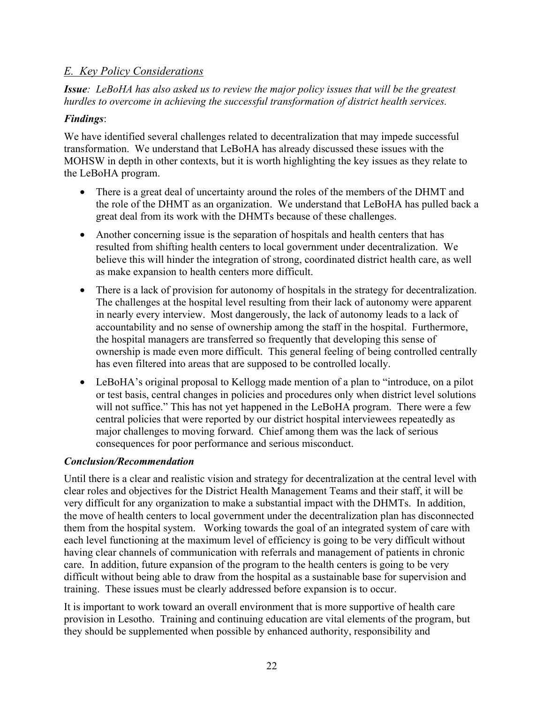#### *E. Key Policy Considerations*

*Issue: LeBoHA has also asked us to review the major policy issues that will be the greatest hurdles to overcome in achieving the successful transformation of district health services.* 

#### *Findings*:

We have identified several challenges related to decentralization that may impede successful transformation. We understand that LeBoHA has already discussed these issues with the MOHSW in depth in other contexts, but it is worth highlighting the key issues as they relate to the LeBoHA program.

- There is a great deal of uncertainty around the roles of the members of the DHMT and the role of the DHMT as an organization. We understand that LeBoHA has pulled back a great deal from its work with the DHMTs because of these challenges.
- Another concerning issue is the separation of hospitals and health centers that has resulted from shifting health centers to local government under decentralization. We believe this will hinder the integration of strong, coordinated district health care, as well as make expansion to health centers more difficult.
- There is a lack of provision for autonomy of hospitals in the strategy for decentralization. The challenges at the hospital level resulting from their lack of autonomy were apparent in nearly every interview. Most dangerously, the lack of autonomy leads to a lack of accountability and no sense of ownership among the staff in the hospital. Furthermore, the hospital managers are transferred so frequently that developing this sense of ownership is made even more difficult. This general feeling of being controlled centrally has even filtered into areas that are supposed to be controlled locally.
- LeBoHA's original proposal to Kellogg made mention of a plan to "introduce, on a pilot or test basis, central changes in policies and procedures only when district level solutions will not suffice." This has not yet happened in the LeBoHA program. There were a few central policies that were reported by our district hospital interviewees repeatedly as major challenges to moving forward. Chief among them was the lack of serious consequences for poor performance and serious misconduct.

#### *Conclusion/Recommendation*

Until there is a clear and realistic vision and strategy for decentralization at the central level with clear roles and objectives for the District Health Management Teams and their staff, it will be very difficult for any organization to make a substantial impact with the DHMTs. In addition, the move of health centers to local government under the decentralization plan has disconnected them from the hospital system. Working towards the goal of an integrated system of care with each level functioning at the maximum level of efficiency is going to be very difficult without having clear channels of communication with referrals and management of patients in chronic care. In addition, future expansion of the program to the health centers is going to be very difficult without being able to draw from the hospital as a sustainable base for supervision and training. These issues must be clearly addressed before expansion is to occur.

It is important to work toward an overall environment that is more supportive of health care provision in Lesotho. Training and continuing education are vital elements of the program, but they should be supplemented when possible by enhanced authority, responsibility and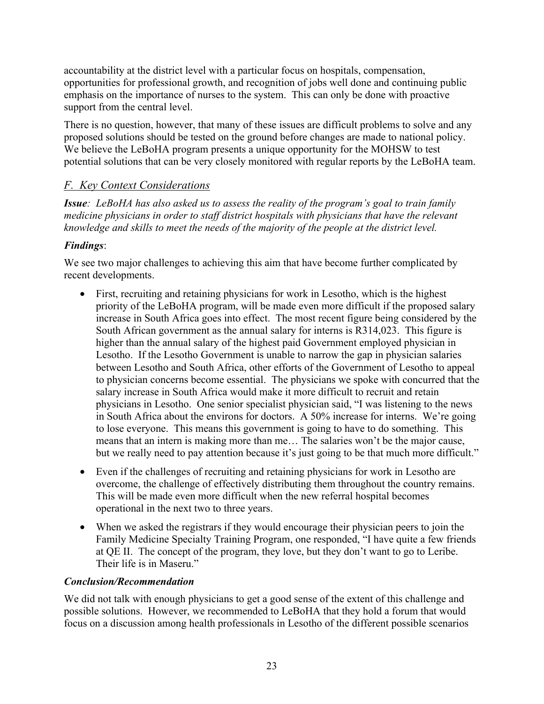accountability at the district level with a particular focus on hospitals, compensation, opportunities for professional growth, and recognition of jobs well done and continuing public emphasis on the importance of nurses to the system. This can only be done with proactive support from the central level.

There is no question, however, that many of these issues are difficult problems to solve and any proposed solutions should be tested on the ground before changes are made to national policy. We believe the LeBoHA program presents a unique opportunity for the MOHSW to test potential solutions that can be very closely monitored with regular reports by the LeBoHA team.

#### *F. Key Context Considerations*

*Issue: LeBoHA has also asked us to assess the reality of the program's goal to train family medicine physicians in order to staff district hospitals with physicians that have the relevant knowledge and skills to meet the needs of the majority of the people at the district level.* 

#### *Findings*:

We see two major challenges to achieving this aim that have become further complicated by recent developments.

- First, recruiting and retaining physicians for work in Lesotho, which is the highest priority of the LeBoHA program, will be made even more difficult if the proposed salary increase in South Africa goes into effect. The most recent figure being considered by the South African government as the annual salary for interns is R314,023. This figure is higher than the annual salary of the highest paid Government employed physician in Lesotho. If the Lesotho Government is unable to narrow the gap in physician salaries between Lesotho and South Africa, other efforts of the Government of Lesotho to appeal to physician concerns become essential. The physicians we spoke with concurred that the salary increase in South Africa would make it more difficult to recruit and retain physicians in Lesotho. One senior specialist physician said, "I was listening to the news in South Africa about the environs for doctors. A 50% increase for interns. We're going to lose everyone. This means this government is going to have to do something. This means that an intern is making more than me… The salaries won't be the major cause, but we really need to pay attention because it's just going to be that much more difficult."
- Even if the challenges of recruiting and retaining physicians for work in Lesotho are overcome, the challenge of effectively distributing them throughout the country remains. This will be made even more difficult when the new referral hospital becomes operational in the next two to three years.
- When we asked the registrars if they would encourage their physician peers to join the Family Medicine Specialty Training Program, one responded, "I have quite a few friends at QE II. The concept of the program, they love, but they don't want to go to Leribe. Their life is in Maseru"

#### *Conclusion/Recommendation*

We did not talk with enough physicians to get a good sense of the extent of this challenge and possible solutions. However, we recommended to LeBoHA that they hold a forum that would focus on a discussion among health professionals in Lesotho of the different possible scenarios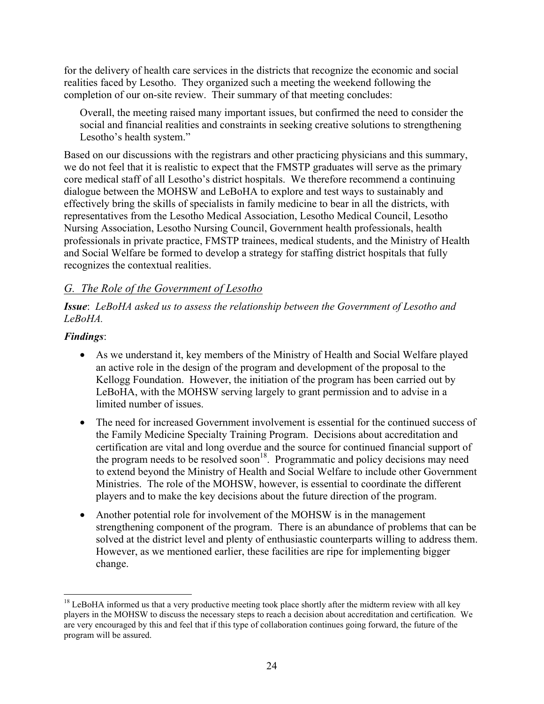for the delivery of health care services in the districts that recognize the economic and social realities faced by Lesotho. They organized such a meeting the weekend following the completion of our on-site review. Their summary of that meeting concludes:

Overall, the meeting raised many important issues, but confirmed the need to consider the social and financial realities and constraints in seeking creative solutions to strengthening Lesotho's health system."

Based on our discussions with the registrars and other practicing physicians and this summary, we do not feel that it is realistic to expect that the FMSTP graduates will serve as the primary core medical staff of all Lesotho's district hospitals. We therefore recommend a continuing dialogue between the MOHSW and LeBoHA to explore and test ways to sustainably and effectively bring the skills of specialists in family medicine to bear in all the districts, with representatives from the Lesotho Medical Association, Lesotho Medical Council, Lesotho Nursing Association, Lesotho Nursing Council, Government health professionals, health professionals in private practice, FMSTP trainees, medical students, and the Ministry of Health and Social Welfare be formed to develop a strategy for staffing district hospitals that fully recognizes the contextual realities.

#### *G. The Role of the Government of Lesotho*

#### *Issue*: *LeBoHA asked us to assess the relationship between the Government of Lesotho and LeBoHA.*

#### *Findings*:

- As we understand it, key members of the Ministry of Health and Social Welfare played an active role in the design of the program and development of the proposal to the Kellogg Foundation. However, the initiation of the program has been carried out by LeBoHA, with the MOHSW serving largely to grant permission and to advise in a limited number of issues.
- The need for increased Government involvement is essential for the continued success of the Family Medicine Specialty Training Program. Decisions about accreditation and certification are vital and long overdue and the source for continued financial support of the program needs to be resolved soon<sup>18</sup>. Programmatic and policy decisions may need to extend beyond the Ministry of Health and Social Welfare to include other Government Ministries. The role of the MOHSW, however, is essential to coordinate the different players and to make the key decisions about the future direction of the program.
- Another potential role for involvement of the MOHSW is in the management strengthening component of the program. There is an abundance of problems that can be solved at the district level and plenty of enthusiastic counterparts willing to address them. However, as we mentioned earlier, these facilities are ripe for implementing bigger change.

 $18$  LeBoHA informed us that a very productive meeting took place shortly after the midterm review with all key players in the MOHSW to discuss the necessary steps to reach a decision about accreditation and certification. We are very encouraged by this and feel that if this type of collaboration continues going forward, the future of the program will be assured.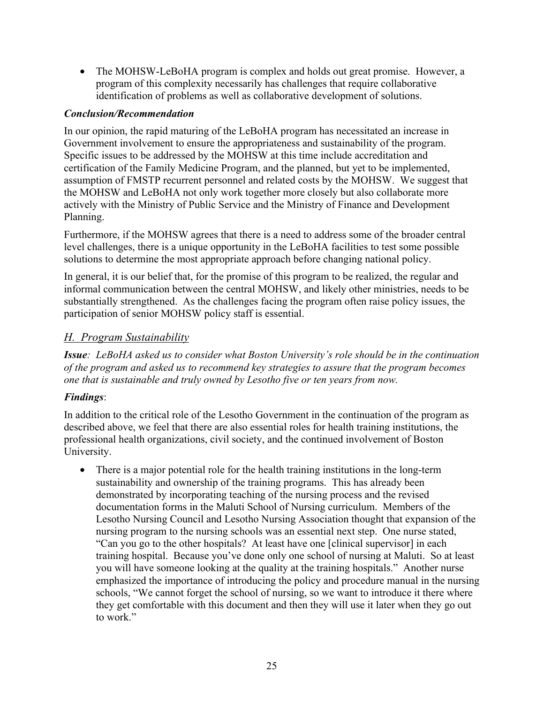• The MOHSW-LeBoHA program is complex and holds out great promise. However, a program of this complexity necessarily has challenges that require collaborative identification of problems as well as collaborative development of solutions.

#### *Conclusion/Recommendation*

In our opinion, the rapid maturing of the LeBoHA program has necessitated an increase in Government involvement to ensure the appropriateness and sustainability of the program. Specific issues to be addressed by the MOHSW at this time include accreditation and certification of the Family Medicine Program, and the planned, but yet to be implemented, assumption of FMSTP recurrent personnel and related costs by the MOHSW. We suggest that the MOHSW and LeBoHA not only work together more closely but also collaborate more actively with the Ministry of Public Service and the Ministry of Finance and Development Planning.

Furthermore, if the MOHSW agrees that there is a need to address some of the broader central level challenges, there is a unique opportunity in the LeBoHA facilities to test some possible solutions to determine the most appropriate approach before changing national policy.

In general, it is our belief that, for the promise of this program to be realized, the regular and informal communication between the central MOHSW, and likely other ministries, needs to be substantially strengthened. As the challenges facing the program often raise policy issues, the participation of senior MOHSW policy staff is essential.

#### *H. Program Sustainability*

*Issue: LeBoHA asked us to consider what Boston University's role should be in the continuation of the program and asked us to recommend key strategies to assure that the program becomes one that is sustainable and truly owned by Lesotho five or ten years from now.* 

#### *Findings*:

In addition to the critical role of the Lesotho Government in the continuation of the program as described above, we feel that there are also essential roles for health training institutions, the professional health organizations, civil society, and the continued involvement of Boston University.

• There is a major potential role for the health training institutions in the long-term sustainability and ownership of the training programs. This has already been demonstrated by incorporating teaching of the nursing process and the revised documentation forms in the Maluti School of Nursing curriculum. Members of the Lesotho Nursing Council and Lesotho Nursing Association thought that expansion of the nursing program to the nursing schools was an essential next step. One nurse stated, "Can you go to the other hospitals? At least have one [clinical supervisor] in each training hospital. Because you've done only one school of nursing at Maluti. So at least you will have someone looking at the quality at the training hospitals." Another nurse emphasized the importance of introducing the policy and procedure manual in the nursing schools, "We cannot forget the school of nursing, so we want to introduce it there where they get comfortable with this document and then they will use it later when they go out to work."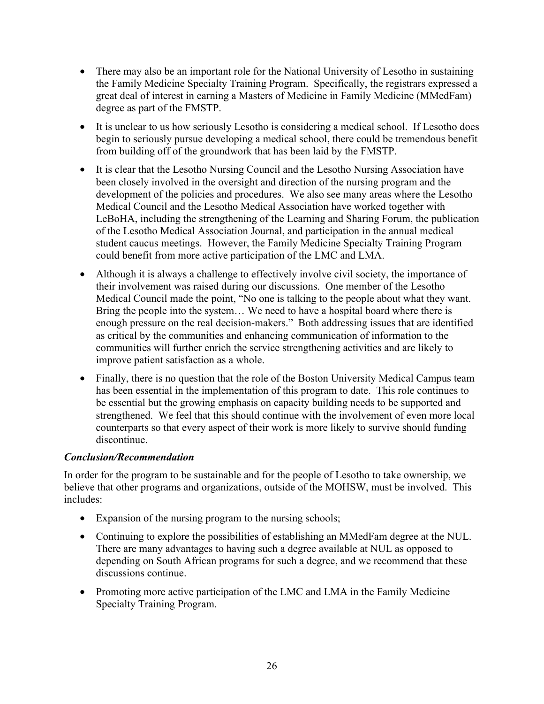- There may also be an important role for the National University of Lesotho in sustaining the Family Medicine Specialty Training Program. Specifically, the registrars expressed a great deal of interest in earning a Masters of Medicine in Family Medicine (MMedFam) degree as part of the FMSTP.
- It is unclear to us how seriously Lesotho is considering a medical school. If Lesotho does begin to seriously pursue developing a medical school, there could be tremendous benefit from building off of the groundwork that has been laid by the FMSTP.
- It is clear that the Lesotho Nursing Council and the Lesotho Nursing Association have been closely involved in the oversight and direction of the nursing program and the development of the policies and procedures. We also see many areas where the Lesotho Medical Council and the Lesotho Medical Association have worked together with LeBoHA, including the strengthening of the Learning and Sharing Forum, the publication of the Lesotho Medical Association Journal, and participation in the annual medical student caucus meetings. However, the Family Medicine Specialty Training Program could benefit from more active participation of the LMC and LMA.
- Although it is always a challenge to effectively involve civil society, the importance of their involvement was raised during our discussions. One member of the Lesotho Medical Council made the point, "No one is talking to the people about what they want. Bring the people into the system… We need to have a hospital board where there is enough pressure on the real decision-makers." Both addressing issues that are identified as critical by the communities and enhancing communication of information to the communities will further enrich the service strengthening activities and are likely to improve patient satisfaction as a whole.
- Finally, there is no question that the role of the Boston University Medical Campus team has been essential in the implementation of this program to date. This role continues to be essential but the growing emphasis on capacity building needs to be supported and strengthened. We feel that this should continue with the involvement of even more local counterparts so that every aspect of their work is more likely to survive should funding discontinue.

#### *Conclusion/Recommendation*

In order for the program to be sustainable and for the people of Lesotho to take ownership, we believe that other programs and organizations, outside of the MOHSW, must be involved. This includes:

- Expansion of the nursing program to the nursing schools;
- Continuing to explore the possibilities of establishing an MMedFam degree at the NUL. There are many advantages to having such a degree available at NUL as opposed to depending on South African programs for such a degree, and we recommend that these discussions continue.
- Promoting more active participation of the LMC and LMA in the Family Medicine Specialty Training Program.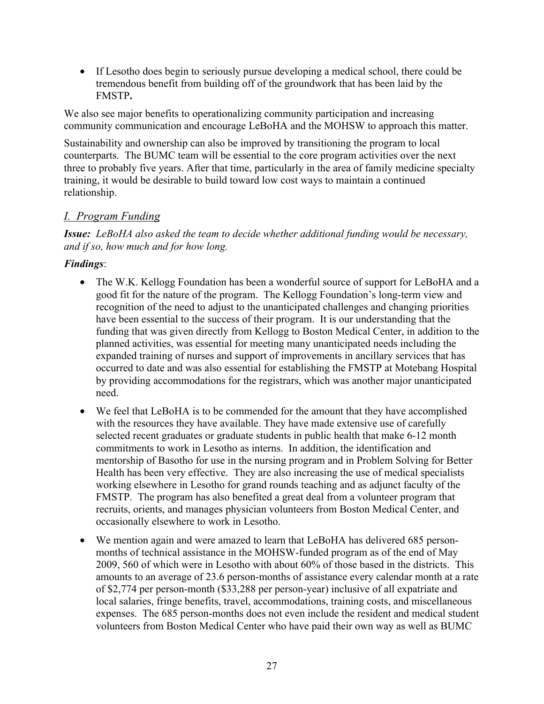• If Lesotho does begin to seriously pursue developing a medical school, there could be tremendous benefit from building off of the groundwork that has been laid by the FMSTP**.** 

We also see major benefits to operationalizing community participation and increasing community communication and encourage LeBoHA and the MOHSW to approach this matter.

Sustainability and ownership can also be improved by transitioning the program to local counterparts. The BUMC team will be essential to the core program activities over the next three to probably five years. After that time, particularly in the area of family medicine specialty training, it would be desirable to build toward low cost ways to maintain a continued relationship.

#### *I. Program Funding*

*Issue: LeBoHA also asked the team to decide whether additional funding would be necessary, and if so, how much and for how long.*

#### *Findings*:

- The W.K. Kellogg Foundation has been a wonderful source of support for LeBoHA and a good fit for the nature of the program. The Kellogg Foundation's long-term view and recognition of the need to adjust to the unanticipated challenges and changing priorities have been essential to the success of their program. It is our understanding that the funding that was given directly from Kellogg to Boston Medical Center, in addition to the planned activities, was essential for meeting many unanticipated needs including the expanded training of nurses and support of improvements in ancillary services that has occurred to date and was also essential for establishing the FMSTP at Motebang Hospital by providing accommodations for the registrars, which was another major unanticipated need.
- We feel that LeBoHA is to be commended for the amount that they have accomplished with the resources they have available. They have made extensive use of carefully selected recent graduates or graduate students in public health that make 6-12 month commitments to work in Lesotho as interns. In addition, the identification and mentorship of Basotho for use in the nursing program and in Problem Solving for Better Health has been very effective. They are also increasing the use of medical specialists working elsewhere in Lesotho for grand rounds teaching and as adjunct faculty of the FMSTP. The program has also benefited a great deal from a volunteer program that recruits, orients, and manages physician volunteers from Boston Medical Center, and occasionally elsewhere to work in Lesotho.
- We mention again and were amazed to learn that LeBoHA has delivered 685 personmonths of technical assistance in the MOHSW-funded program as of the end of May 2009, 560 of which were in Lesotho with about 60% of those based in the districts. This amounts to an average of 23.6 person-months of assistance every calendar month at a rate of \$2,774 per person-month (\$33,288 per person-year) inclusive of all expatriate and local salaries, fringe benefits, travel, accommodations, training costs, and miscellaneous expenses. The 685 person-months does not even include the resident and medical student volunteers from Boston Medical Center who have paid their own way as well as BUMC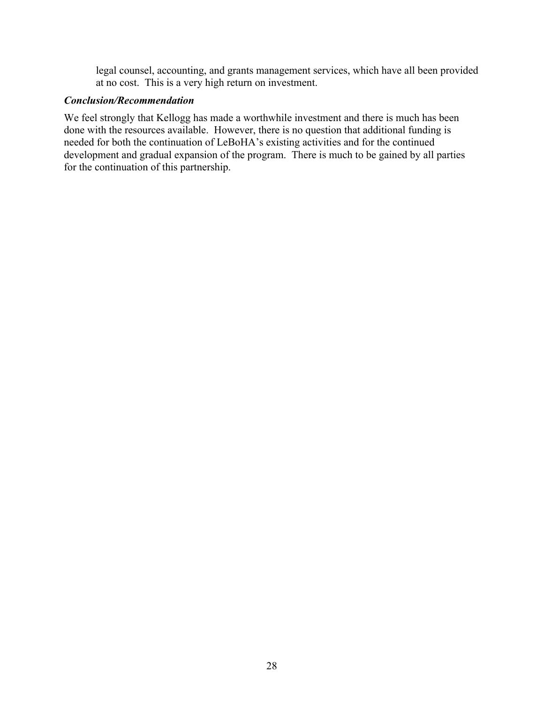legal counsel, accounting, and grants management services, which have all been provided at no cost. This is a very high return on investment.

#### *Conclusion/Recommendation*

We feel strongly that Kellogg has made a worthwhile investment and there is much has been done with the resources available. However, there is no question that additional funding is needed for both the continuation of LeBoHA's existing activities and for the continued development and gradual expansion of the program. There is much to be gained by all parties for the continuation of this partnership.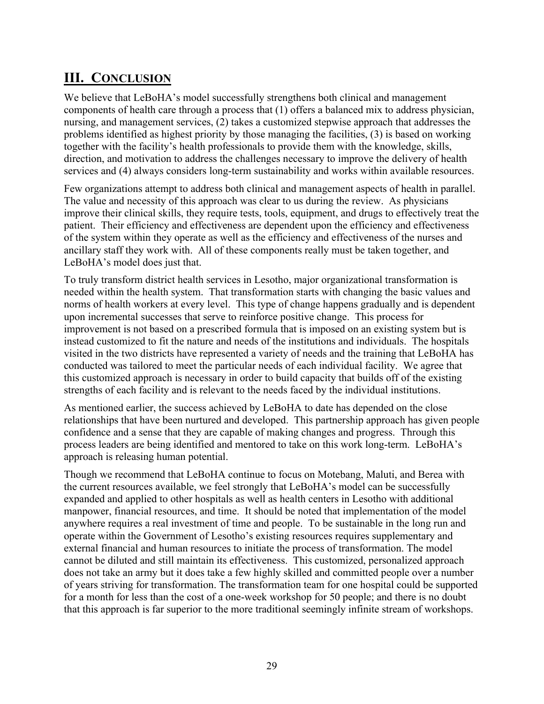## **III. CONCLUSION**

We believe that LeBoHA's model successfully strengthens both clinical and management components of health care through a process that (1) offers a balanced mix to address physician, nursing, and management services, (2) takes a customized stepwise approach that addresses the problems identified as highest priority by those managing the facilities, (3) is based on working together with the facility's health professionals to provide them with the knowledge, skills, direction, and motivation to address the challenges necessary to improve the delivery of health services and (4) always considers long-term sustainability and works within available resources.

Few organizations attempt to address both clinical and management aspects of health in parallel. The value and necessity of this approach was clear to us during the review. As physicians improve their clinical skills, they require tests, tools, equipment, and drugs to effectively treat the patient. Their efficiency and effectiveness are dependent upon the efficiency and effectiveness of the system within they operate as well as the efficiency and effectiveness of the nurses and ancillary staff they work with. All of these components really must be taken together, and LeBoHA's model does just that.

To truly transform district health services in Lesotho, major organizational transformation is needed within the health system. That transformation starts with changing the basic values and norms of health workers at every level. This type of change happens gradually and is dependent upon incremental successes that serve to reinforce positive change. This process for improvement is not based on a prescribed formula that is imposed on an existing system but is instead customized to fit the nature and needs of the institutions and individuals. The hospitals visited in the two districts have represented a variety of needs and the training that LeBoHA has conducted was tailored to meet the particular needs of each individual facility. We agree that this customized approach is necessary in order to build capacity that builds off of the existing strengths of each facility and is relevant to the needs faced by the individual institutions.

As mentioned earlier, the success achieved by LeBoHA to date has depended on the close relationships that have been nurtured and developed. This partnership approach has given people confidence and a sense that they are capable of making changes and progress. Through this process leaders are being identified and mentored to take on this work long-term. LeBoHA's approach is releasing human potential.

Though we recommend that LeBoHA continue to focus on Motebang, Maluti, and Berea with the current resources available, we feel strongly that LeBoHA's model can be successfully expanded and applied to other hospitals as well as health centers in Lesotho with additional manpower, financial resources, and time. It should be noted that implementation of the model anywhere requires a real investment of time and people. To be sustainable in the long run and operate within the Government of Lesotho's existing resources requires supplementary and external financial and human resources to initiate the process of transformation. The model cannot be diluted and still maintain its effectiveness. This customized, personalized approach does not take an army but it does take a few highly skilled and committed people over a number of years striving for transformation. The transformation team for one hospital could be supported for a month for less than the cost of a one-week workshop for 50 people; and there is no doubt that this approach is far superior to the more traditional seemingly infinite stream of workshops.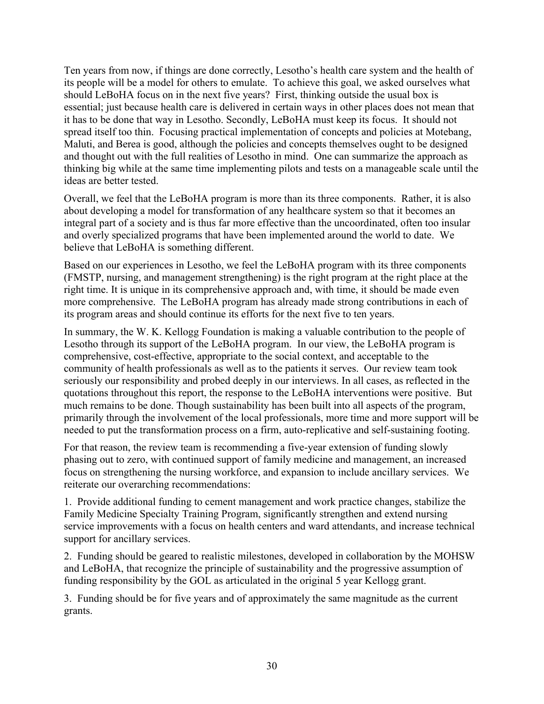Ten years from now, if things are done correctly, Lesotho's health care system and the health of its people will be a model for others to emulate. To achieve this goal, we asked ourselves what should LeBoHA focus on in the next five years? First, thinking outside the usual box is essential; just because health care is delivered in certain ways in other places does not mean that it has to be done that way in Lesotho. Secondly, LeBoHA must keep its focus. It should not spread itself too thin. Focusing practical implementation of concepts and policies at Motebang, Maluti, and Berea is good, although the policies and concepts themselves ought to be designed and thought out with the full realities of Lesotho in mind. One can summarize the approach as thinking big while at the same time implementing pilots and tests on a manageable scale until the ideas are better tested.

Overall, we feel that the LeBoHA program is more than its three components. Rather, it is also about developing a model for transformation of any healthcare system so that it becomes an integral part of a society and is thus far more effective than the uncoordinated, often too insular and overly specialized programs that have been implemented around the world to date. We believe that LeBoHA is something different.

Based on our experiences in Lesotho, we feel the LeBoHA program with its three components (FMSTP, nursing, and management strengthening) is the right program at the right place at the right time. It is unique in its comprehensive approach and, with time, it should be made even more comprehensive. The LeBoHA program has already made strong contributions in each of its program areas and should continue its efforts for the next five to ten years.

In summary, the W. K. Kellogg Foundation is making a valuable contribution to the people of Lesotho through its support of the LeBoHA program. In our view, the LeBoHA program is comprehensive, cost-effective, appropriate to the social context, and acceptable to the community of health professionals as well as to the patients it serves. Our review team took seriously our responsibility and probed deeply in our interviews. In all cases, as reflected in the quotations throughout this report, the response to the LeBoHA interventions were positive. But much remains to be done. Though sustainability has been built into all aspects of the program, primarily through the involvement of the local professionals, more time and more support will be needed to put the transformation process on a firm, auto-replicative and self-sustaining footing.

For that reason, the review team is recommending a five-year extension of funding slowly phasing out to zero, with continued support of family medicine and management, an increased focus on strengthening the nursing workforce, and expansion to include ancillary services. We reiterate our overarching recommendations:

1. Provide additional funding to cement management and work practice changes, stabilize the Family Medicine Specialty Training Program, significantly strengthen and extend nursing service improvements with a focus on health centers and ward attendants, and increase technical support for ancillary services.

2. Funding should be geared to realistic milestones, developed in collaboration by the MOHSW and LeBoHA, that recognize the principle of sustainability and the progressive assumption of funding responsibility by the GOL as articulated in the original 5 year Kellogg grant.

3. Funding should be for five years and of approximately the same magnitude as the current grants.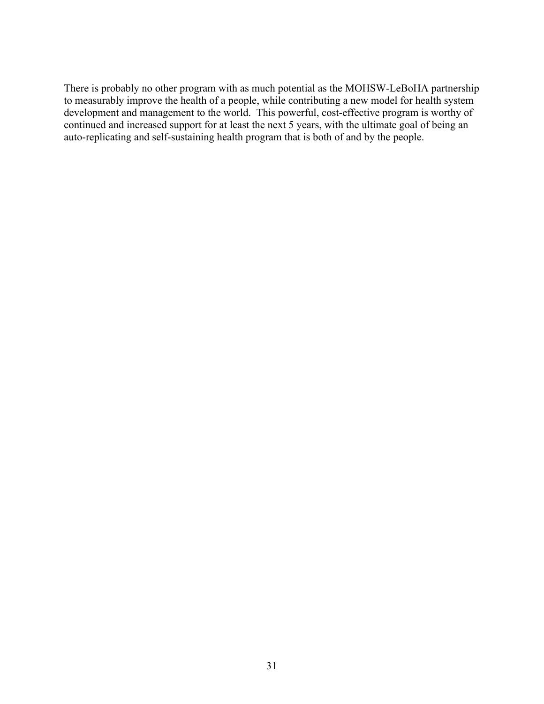There is probably no other program with as much potential as the MOHSW-LeBoHA partnership to measurably improve the health of a people, while contributing a new model for health system development and management to the world. This powerful, cost-effective program is worthy of continued and increased support for at least the next 5 years, with the ultimate goal of being an auto-replicating and self-sustaining health program that is both of and by the people.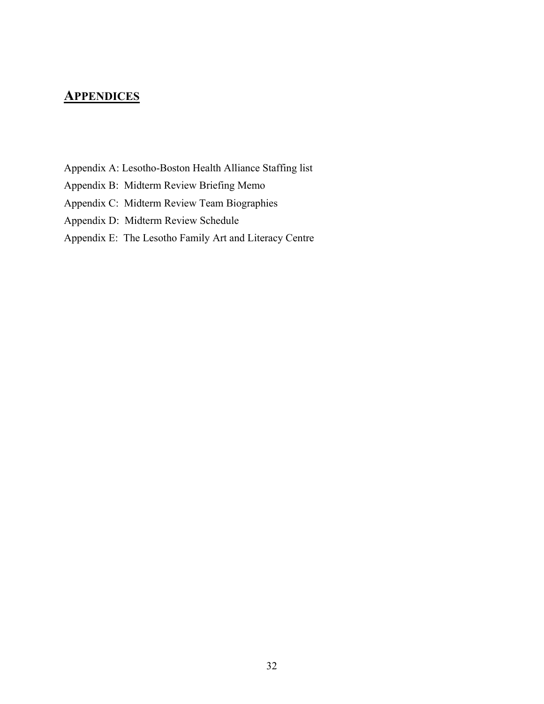## **APPENDICES**

- Appendix A: Lesotho-Boston Health Alliance Staffing list
- Appendix B: Midterm Review Briefing Memo
- Appendix C: Midterm Review Team Biographies
- Appendix D: Midterm Review Schedule

#### Appendix E: The Lesotho Family Art and Literacy Centre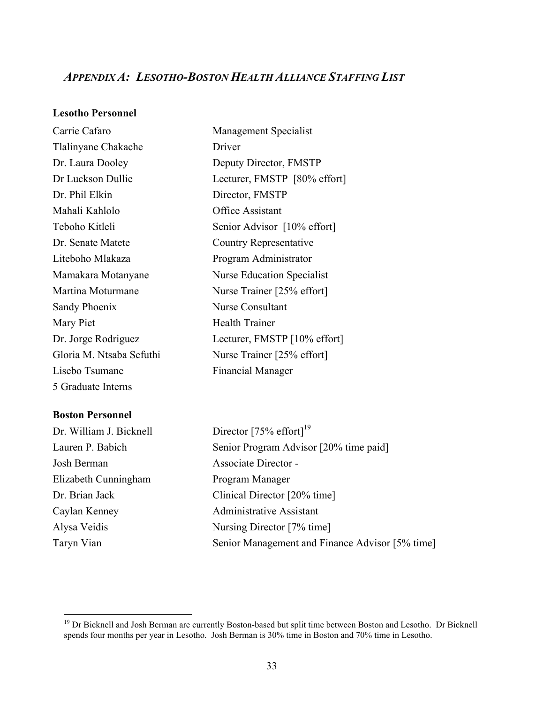#### *APPENDIX A: LESOTHO-BOSTON HEALTH ALLIANCE STAFFING LIST*

#### **Lesotho Personnel**

| Carrie Cafaro            | <b>Management Specialist</b>      |  |
|--------------------------|-----------------------------------|--|
| Tlalinyane Chakache      | Driver                            |  |
| Dr. Laura Dooley         | Deputy Director, FMSTP            |  |
| Dr Luckson Dullie        | Lecturer, FMSTP [80% effort]      |  |
| Dr. Phil Elkin           | Director, FMSTP                   |  |
| Mahali Kahlolo           | Office Assistant                  |  |
| Teboho Kitleli           | Senior Advisor [10% effort]       |  |
| Dr. Senate Matete        | Country Representative            |  |
| Liteboho Mlakaza         | Program Administrator             |  |
| Mamakara Motanyane       | <b>Nurse Education Specialist</b> |  |
| Martina Moturmane        | Nurse Trainer [25% effort]        |  |
| Sandy Phoenix            | <b>Nurse Consultant</b>           |  |
| Mary Piet                | <b>Health Trainer</b>             |  |
| Dr. Jorge Rodriguez      | Lecturer, FMSTP [10% effort]      |  |
| Gloria M. Ntsaba Sefuthi | Nurse Trainer [25% effort]        |  |
| Lisebo Tsumane           | <b>Financial Manager</b>          |  |
| 5 Graduate Interns       |                                   |  |

#### **Boston Personnel**

Josh Berman Associate Director - Elizabeth Cunningham Program Manager

Dr. William J. Bicknell Director  $[75\% \text{ effort}]^{19}$ Lauren P. Babich Senior Program Advisor [20% time paid] Dr. Brian Jack Clinical Director [20% time] Caylan Kenney Administrative Assistant Alysa Veidis Nursing Director [7% time] Taryn Vian Senior Management and Finance Advisor [5% time]

<sup>&</sup>lt;sup>19</sup> Dr Bicknell and Josh Berman are currently Boston-based but split time between Boston and Lesotho. Dr Bicknell spends four months per year in Lesotho. Josh Berman is 30% time in Boston and 70% time in Lesotho.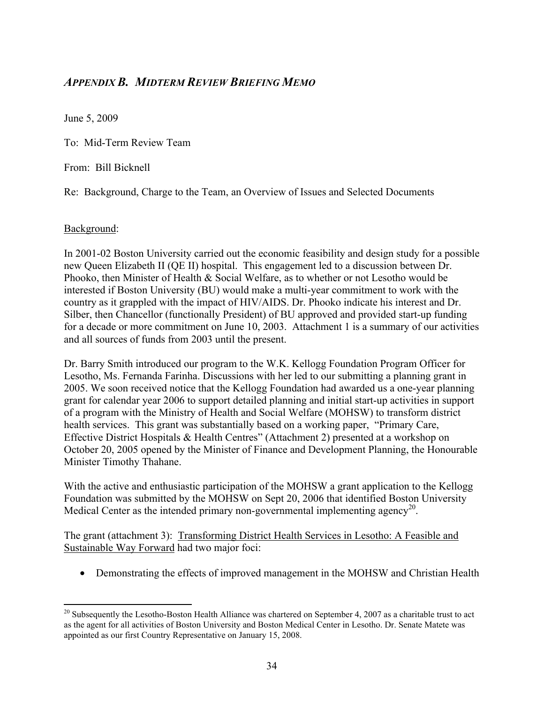#### *APPENDIX B. MIDTERM REVIEW BRIEFING MEMO*

June 5, 2009

To: Mid-Term Review Team

From: Bill Bicknell

Re: Background, Charge to the Team, an Overview of Issues and Selected Documents

#### Background:

In 2001-02 Boston University carried out the economic feasibility and design study for a possible new Queen Elizabeth II (QE II) hospital. This engagement led to a discussion between Dr. Phooko, then Minister of Health & Social Welfare, as to whether or not Lesotho would be interested if Boston University (BU) would make a multi-year commitment to work with the country as it grappled with the impact of HIV/AIDS. Dr. Phooko indicate his interest and Dr. Silber, then Chancellor (functionally President) of BU approved and provided start-up funding for a decade or more commitment on June 10, 2003. Attachment 1 is a summary of our activities and all sources of funds from 2003 until the present.

Dr. Barry Smith introduced our program to the W.K. Kellogg Foundation Program Officer for Lesotho, Ms. Fernanda Farinha. Discussions with her led to our submitting a planning grant in 2005. We soon received notice that the Kellogg Foundation had awarded us a one-year planning grant for calendar year 2006 to support detailed planning and initial start-up activities in support of a program with the Ministry of Health and Social Welfare (MOHSW) to transform district health services. This grant was substantially based on a working paper, "Primary Care, Effective District Hospitals & Health Centres" (Attachment 2) presented at a workshop on October 20, 2005 opened by the Minister of Finance and Development Planning, the Honourable Minister Timothy Thahane.

With the active and enthusiastic participation of the MOHSW a grant application to the Kellogg Foundation was submitted by the MOHSW on Sept 20, 2006 that identified Boston University Medical Center as the intended primary non-governmental implementing agency<sup>20</sup>.

The grant (attachment 3): Transforming District Health Services in Lesotho: A Feasible and Sustainable Way Forward had two major foci:

• Demonstrating the effects of improved management in the MOHSW and Christian Health

 $20$  Subsequently the Lesotho-Boston Health Alliance was chartered on September 4, 2007 as a charitable trust to act as the agent for all activities of Boston University and Boston Medical Center in Lesotho. Dr. Senate Matete was appointed as our first Country Representative on January 15, 2008.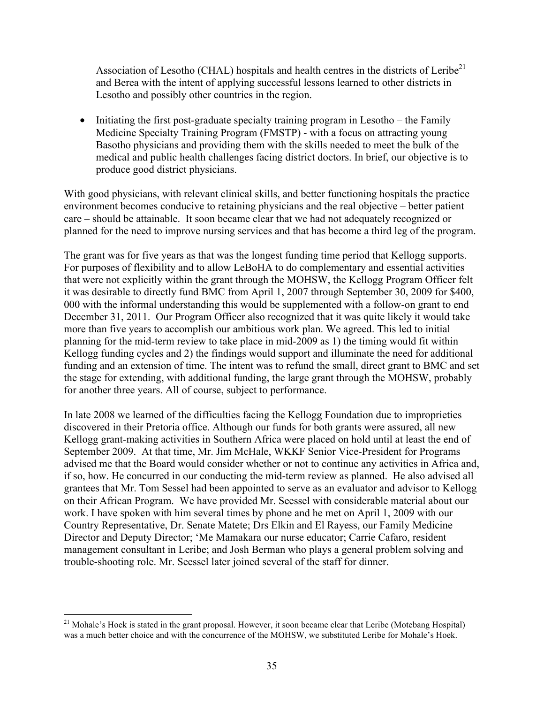Association of Lesotho (CHAL) hospitals and health centres in the districts of Leribe<sup>21</sup> and Berea with the intent of applying successful lessons learned to other districts in Lesotho and possibly other countries in the region.

• Initiating the first post-graduate specialty training program in Lesotho – the Family Medicine Specialty Training Program (FMSTP) - with a focus on attracting young Basotho physicians and providing them with the skills needed to meet the bulk of the medical and public health challenges facing district doctors. In brief, our objective is to produce good district physicians.

With good physicians, with relevant clinical skills, and better functioning hospitals the practice environment becomes conducive to retaining physicians and the real objective – better patient care – should be attainable. It soon became clear that we had not adequately recognized or planned for the need to improve nursing services and that has become a third leg of the program.

The grant was for five years as that was the longest funding time period that Kellogg supports. For purposes of flexibility and to allow LeBoHA to do complementary and essential activities that were not explicitly within the grant through the MOHSW, the Kellogg Program Officer felt it was desirable to directly fund BMC from April 1, 2007 through September 30, 2009 for \$400, 000 with the informal understanding this would be supplemented with a follow-on grant to end December 31, 2011. Our Program Officer also recognized that it was quite likely it would take more than five years to accomplish our ambitious work plan. We agreed. This led to initial planning for the mid-term review to take place in mid-2009 as 1) the timing would fit within Kellogg funding cycles and 2) the findings would support and illuminate the need for additional funding and an extension of time. The intent was to refund the small, direct grant to BMC and set the stage for extending, with additional funding, the large grant through the MOHSW, probably for another three years. All of course, subject to performance.

In late 2008 we learned of the difficulties facing the Kellogg Foundation due to improprieties discovered in their Pretoria office. Although our funds for both grants were assured, all new Kellogg grant-making activities in Southern Africa were placed on hold until at least the end of September 2009. At that time, Mr. Jim McHale, WKKF Senior Vice-President for Programs advised me that the Board would consider whether or not to continue any activities in Africa and, if so, how. He concurred in our conducting the mid-term review as planned. He also advised all grantees that Mr. Tom Sessel had been appointed to serve as an evaluator and advisor to Kellogg on their African Program. We have provided Mr. Seessel with considerable material about our work. I have spoken with him several times by phone and he met on April 1, 2009 with our Country Representative, Dr. Senate Matete; Drs Elkin and El Rayess, our Family Medicine Director and Deputy Director; 'Me Mamakara our nurse educator; Carrie Cafaro, resident management consultant in Leribe; and Josh Berman who plays a general problem solving and trouble-shooting role. Mr. Seessel later joined several of the staff for dinner.

<sup>&</sup>lt;sup>21</sup> Mohale's Hoek is stated in the grant proposal. However, it soon became clear that Leribe (Motebang Hospital) was a much better choice and with the concurrence of the MOHSW, we substituted Leribe for Mohale's Hoek.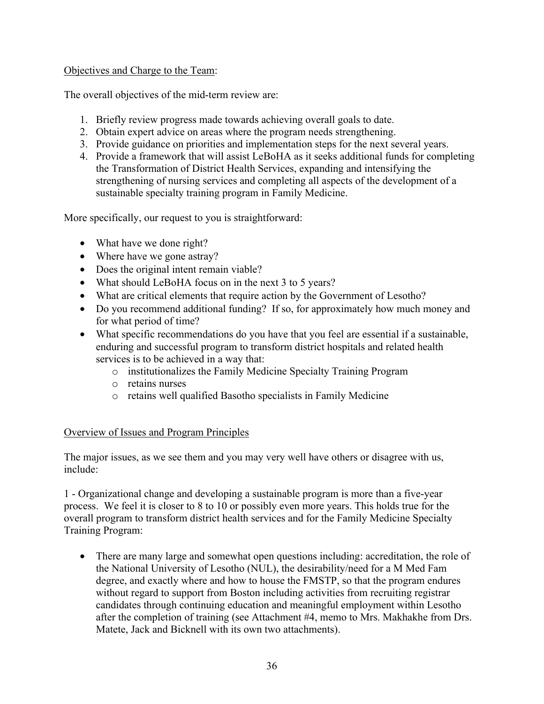#### Objectives and Charge to the Team:

The overall objectives of the mid-term review are:

- 1. Briefly review progress made towards achieving overall goals to date.
- 2. Obtain expert advice on areas where the program needs strengthening.
- 3. Provide guidance on priorities and implementation steps for the next several years.
- 4. Provide a framework that will assist LeBoHA as it seeks additional funds for completing the Transformation of District Health Services, expanding and intensifying the strengthening of nursing services and completing all aspects of the development of a sustainable specialty training program in Family Medicine.

More specifically, our request to you is straightforward:

- What have we done right?
- Where have we gone astray?
- Does the original intent remain viable?
- What should LeBoHA focus on in the next 3 to 5 years?
- What are critical elements that require action by the Government of Lesotho?
- Do you recommend additional funding? If so, for approximately how much money and for what period of time?
- What specific recommendations do you have that you feel are essential if a sustainable, enduring and successful program to transform district hospitals and related health services is to be achieved in a way that:
	- o institutionalizes the Family Medicine Specialty Training Program
	- o retains nurses
	- o retains well qualified Basotho specialists in Family Medicine

#### Overview of Issues and Program Principles

The major issues, as we see them and you may very well have others or disagree with us, include:

1 - Organizational change and developing a sustainable program is more than a five-year process. We feel it is closer to 8 to 10 or possibly even more years. This holds true for the overall program to transform district health services and for the Family Medicine Specialty Training Program:

• There are many large and somewhat open questions including: accreditation, the role of the National University of Lesotho (NUL), the desirability/need for a M Med Fam degree, and exactly where and how to house the FMSTP, so that the program endures without regard to support from Boston including activities from recruiting registrar candidates through continuing education and meaningful employment within Lesotho after the completion of training (see Attachment #4, memo to Mrs. Makhakhe from Drs. Matete, Jack and Bicknell with its own two attachments).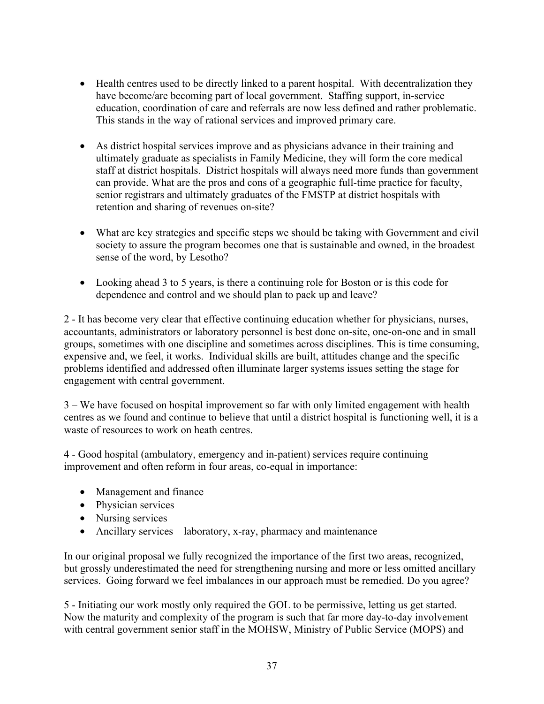- Health centres used to be directly linked to a parent hospital. With decentralization they have become/are becoming part of local government. Staffing support, in-service education, coordination of care and referrals are now less defined and rather problematic. This stands in the way of rational services and improved primary care.
- As district hospital services improve and as physicians advance in their training and ultimately graduate as specialists in Family Medicine, they will form the core medical staff at district hospitals. District hospitals will always need more funds than government can provide. What are the pros and cons of a geographic full-time practice for faculty, senior registrars and ultimately graduates of the FMSTP at district hospitals with retention and sharing of revenues on-site?
- What are key strategies and specific steps we should be taking with Government and civil society to assure the program becomes one that is sustainable and owned, in the broadest sense of the word, by Lesotho?
- Looking ahead 3 to 5 years, is there a continuing role for Boston or is this code for dependence and control and we should plan to pack up and leave?

2 - It has become very clear that effective continuing education whether for physicians, nurses, accountants, administrators or laboratory personnel is best done on-site, one-on-one and in small groups, sometimes with one discipline and sometimes across disciplines. This is time consuming, expensive and, we feel, it works. Individual skills are built, attitudes change and the specific problems identified and addressed often illuminate larger systems issues setting the stage for engagement with central government.

3 – We have focused on hospital improvement so far with only limited engagement with health centres as we found and continue to believe that until a district hospital is functioning well, it is a waste of resources to work on heath centres.

4 - Good hospital (ambulatory, emergency and in-patient) services require continuing improvement and often reform in four areas, co-equal in importance:

- Management and finance
- Physician services
- Nursing services
- Ancillary services laboratory, x-ray, pharmacy and maintenance

In our original proposal we fully recognized the importance of the first two areas, recognized, but grossly underestimated the need for strengthening nursing and more or less omitted ancillary services. Going forward we feel imbalances in our approach must be remedied. Do you agree?

5 - Initiating our work mostly only required the GOL to be permissive, letting us get started. Now the maturity and complexity of the program is such that far more day-to-day involvement with central government senior staff in the MOHSW, Ministry of Public Service (MOPS) and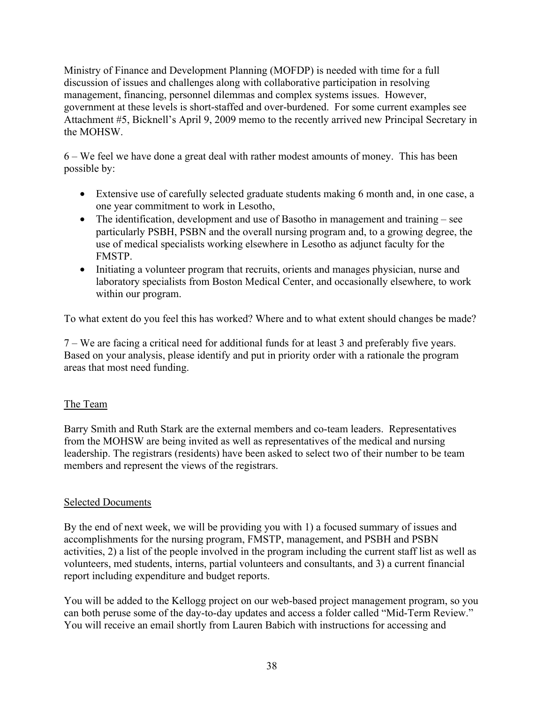Ministry of Finance and Development Planning (MOFDP) is needed with time for a full discussion of issues and challenges along with collaborative participation in resolving management, financing, personnel dilemmas and complex systems issues. However, government at these levels is short-staffed and over-burdened. For some current examples see Attachment #5, Bicknell's April 9, 2009 memo to the recently arrived new Principal Secretary in the MOHSW.

6 – We feel we have done a great deal with rather modest amounts of money. This has been possible by:

- Extensive use of carefully selected graduate students making 6 month and, in one case, a one year commitment to work in Lesotho,
- The identification, development and use of Basotho in management and training see particularly PSBH, PSBN and the overall nursing program and, to a growing degree, the use of medical specialists working elsewhere in Lesotho as adjunct faculty for the FMSTP.
- Initiating a volunteer program that recruits, orients and manages physician, nurse and laboratory specialists from Boston Medical Center, and occasionally elsewhere, to work within our program.

To what extent do you feel this has worked? Where and to what extent should changes be made?

7 – We are facing a critical need for additional funds for at least 3 and preferably five years. Based on your analysis, please identify and put in priority order with a rationale the program areas that most need funding.

#### The Team

Barry Smith and Ruth Stark are the external members and co-team leaders. Representatives from the MOHSW are being invited as well as representatives of the medical and nursing leadership. The registrars (residents) have been asked to select two of their number to be team members and represent the views of the registrars.

#### Selected Documents

By the end of next week, we will be providing you with 1) a focused summary of issues and accomplishments for the nursing program, FMSTP, management, and PSBH and PSBN activities, 2) a list of the people involved in the program including the current staff list as well as volunteers, med students, interns, partial volunteers and consultants, and 3) a current financial report including expenditure and budget reports.

You will be added to the Kellogg project on our web-based project management program, so you can both peruse some of the day-to-day updates and access a folder called "Mid-Term Review." You will receive an email shortly from Lauren Babich with instructions for accessing and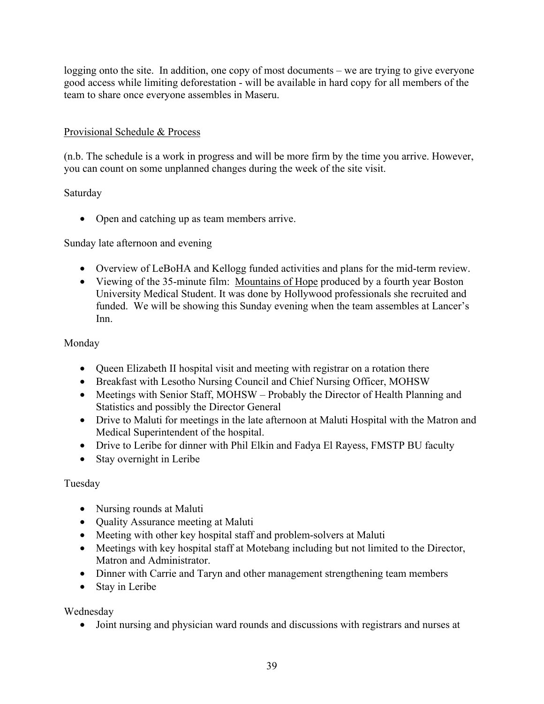logging onto the site. In addition, one copy of most documents – we are trying to give everyone good access while limiting deforestation - will be available in hard copy for all members of the team to share once everyone assembles in Maseru.

#### Provisional Schedule & Process

(n.b. The schedule is a work in progress and will be more firm by the time you arrive. However, you can count on some unplanned changes during the week of the site visit.

#### Saturday

• Open and catching up as team members arrive.

#### Sunday late afternoon and evening

- Overview of LeBoHA and Kellogg funded activities and plans for the mid-term review.
- Viewing of the 35-minute film: Mountains of Hope produced by a fourth year Boston University Medical Student. It was done by Hollywood professionals she recruited and funded. We will be showing this Sunday evening when the team assembles at Lancer's Inn.

#### Monday

- Queen Elizabeth II hospital visit and meeting with registrar on a rotation there
- Breakfast with Lesotho Nursing Council and Chief Nursing Officer, MOHSW
- Meetings with Senior Staff, MOHSW Probably the Director of Health Planning and Statistics and possibly the Director General
- Drive to Maluti for meetings in the late afternoon at Maluti Hospital with the Matron and Medical Superintendent of the hospital.
- Drive to Leribe for dinner with Phil Elkin and Fadya El Rayess, FMSTP BU faculty
- Stay overnight in Leribe

#### Tuesday

- Nursing rounds at Maluti
- Quality Assurance meeting at Maluti
- Meeting with other key hospital staff and problem-solvers at Maluti
- Meetings with key hospital staff at Motebang including but not limited to the Director, Matron and Administrator.
- Dinner with Carrie and Taryn and other management strengthening team members
- Stay in Leribe

Wednesday

• Joint nursing and physician ward rounds and discussions with registrars and nurses at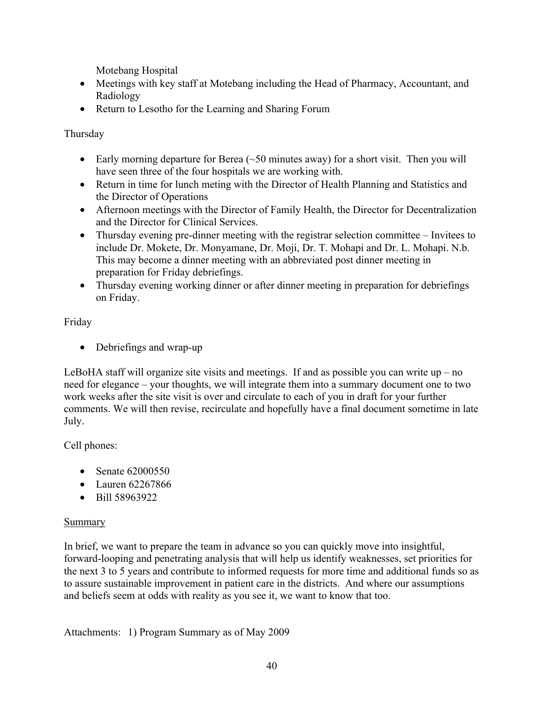Motebang Hospital

- Meetings with key staff at Motebang including the Head of Pharmacy, Accountant, and Radiology
- Return to Lesotho for the Learning and Sharing Forum

Thursday

- Early morning departure for Berea  $(\sim 50$  minutes away) for a short visit. Then you will have seen three of the four hospitals we are working with.
- Return in time for lunch meting with the Director of Health Planning and Statistics and the Director of Operations
- Afternoon meetings with the Director of Family Health, the Director for Decentralization and the Director for Clinical Services.
- Thursday evening pre-dinner meeting with the registrar selection committee Invitees to include Dr. Mokete, Dr. Monyamane, Dr. Moji, Dr. T. Mohapi and Dr. L. Mohapi. N.b. This may become a dinner meeting with an abbreviated post dinner meeting in preparation for Friday debriefings.
- Thursday evening working dinner or after dinner meeting in preparation for debriefings on Friday.

Friday

• Debriefings and wrap-up

LeBoHA staff will organize site visits and meetings. If and as possible you can write up – no need for elegance – your thoughts, we will integrate them into a summary document one to two work weeks after the site visit is over and circulate to each of you in draft for your further comments. We will then revise, recirculate and hopefully have a final document sometime in late July.

Cell phones:

- Senate 62000550
- Lauren 62267866
- Bill 58963922

#### Summary

In brief, we want to prepare the team in advance so you can quickly move into insightful, forward-looping and penetrating analysis that will help us identify weaknesses, set priorities for the next 3 to 5 years and contribute to informed requests for more time and additional funds so as to assure sustainable improvement in patient care in the districts. And where our assumptions and beliefs seem at odds with reality as you see it, we want to know that too.

Attachments: 1) Program Summary as of May 2009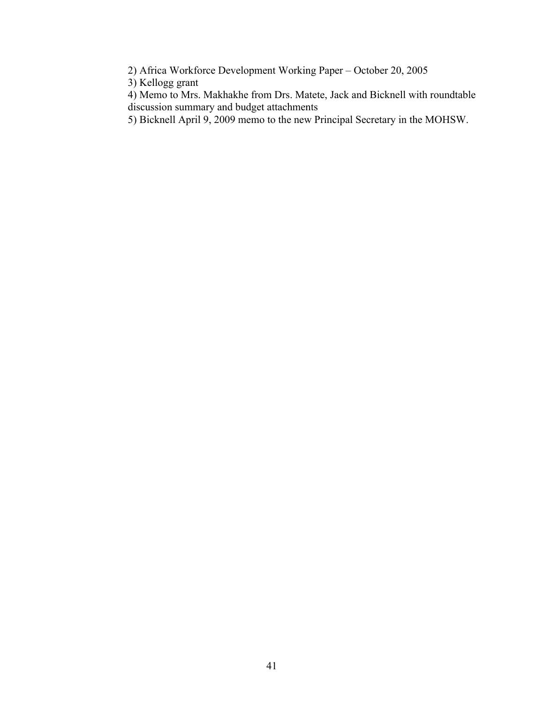2) Africa Workforce Development Working Paper – October 20, 2005

3) Kellogg grant

4) Memo to Mrs. Makhakhe from Drs. Matete, Jack and Bicknell with roundtable discussion summary and budget attachments

5) Bicknell April 9, 2009 memo to the new Principal Secretary in the MOHSW.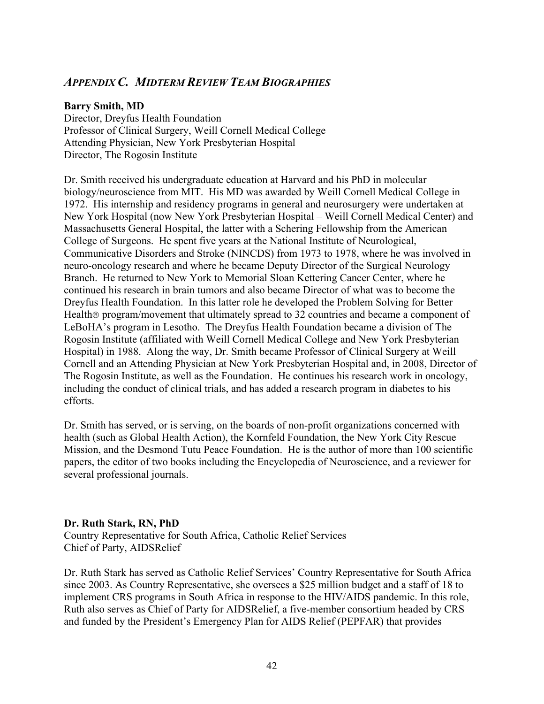#### *APPENDIX C. MIDTERM REVIEW TEAM BIOGRAPHIES*

#### **Barry Smith, MD**

Director, Dreyfus Health Foundation Professor of Clinical Surgery, Weill Cornell Medical College Attending Physician, New York Presbyterian Hospital Director, The Rogosin Institute

Dr. Smith received his undergraduate education at Harvard and his PhD in molecular biology/neuroscience from MIT. His MD was awarded by Weill Cornell Medical College in 1972. His internship and residency programs in general and neurosurgery were undertaken at New York Hospital (now New York Presbyterian Hospital – Weill Cornell Medical Center) and Massachusetts General Hospital, the latter with a Schering Fellowship from the American College of Surgeons. He spent five years at the National Institute of Neurological, Communicative Disorders and Stroke (NINCDS) from 1973 to 1978, where he was involved in neuro-oncology research and where he became Deputy Director of the Surgical Neurology Branch. He returned to New York to Memorial Sloan Kettering Cancer Center, where he continued his research in brain tumors and also became Director of what was to become the Dreyfus Health Foundation. In this latter role he developed the Problem Solving for Better Health® program/movement that ultimately spread to 32 countries and became a component of LeBoHA's program in Lesotho. The Dreyfus Health Foundation became a division of The Rogosin Institute (affiliated with Weill Cornell Medical College and New York Presbyterian Hospital) in 1988. Along the way, Dr. Smith became Professor of Clinical Surgery at Weill Cornell and an Attending Physician at New York Presbyterian Hospital and, in 2008, Director of The Rogosin Institute, as well as the Foundation. He continues his research work in oncology, including the conduct of clinical trials, and has added a research program in diabetes to his efforts.

Dr. Smith has served, or is serving, on the boards of non-profit organizations concerned with health (such as Global Health Action), the Kornfeld Foundation, the New York City Rescue Mission, and the Desmond Tutu Peace Foundation. He is the author of more than 100 scientific papers, the editor of two books including the Encyclopedia of Neuroscience, and a reviewer for several professional journals.

#### **Dr. Ruth Stark, RN, PhD**

Country Representative for South Africa, Catholic Relief Services Chief of Party, AIDSRelief

Dr. Ruth Stark has served as Catholic Relief Services' Country Representative for South Africa since 2003. As Country Representative, she oversees a \$25 million budget and a staff of 18 to implement CRS programs in South Africa in response to the HIV/AIDS pandemic. In this role, Ruth also serves as Chief of Party for AIDSRelief, a five-member consortium headed by CRS and funded by the President's Emergency Plan for AIDS Relief (PEPFAR) that provides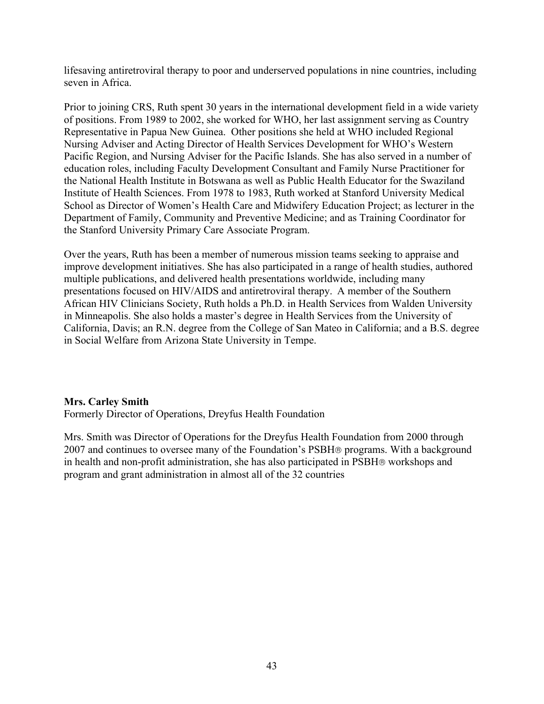lifesaving antiretroviral therapy to poor and underserved populations in nine countries, including seven in Africa.

Prior to joining CRS, Ruth spent 30 years in the international development field in a wide variety of positions. From 1989 to 2002, she worked for WHO, her last assignment serving as Country Representative in Papua New Guinea. Other positions she held at WHO included Regional Nursing Adviser and Acting Director of Health Services Development for WHO's Western Pacific Region, and Nursing Adviser for the Pacific Islands. She has also served in a number of education roles, including Faculty Development Consultant and Family Nurse Practitioner for the National Health Institute in Botswana as well as Public Health Educator for the Swaziland Institute of Health Sciences. From 1978 to 1983, Ruth worked at Stanford University Medical School as Director of Women's Health Care and Midwifery Education Project; as lecturer in the Department of Family, Community and Preventive Medicine; and as Training Coordinator for the Stanford University Primary Care Associate Program.

Over the years, Ruth has been a member of numerous mission teams seeking to appraise and improve development initiatives. She has also participated in a range of health studies, authored multiple publications, and delivered health presentations worldwide, including many presentations focused on HIV/AIDS and antiretroviral therapy. A member of the Southern African HIV Clinicians Society, Ruth holds a Ph.D. in Health Services from Walden University in Minneapolis. She also holds a master's degree in Health Services from the University of California, Davis; an R.N. degree from the College of San Mateo in California; and a B.S. degree in Social Welfare from Arizona State University in Tempe.

#### **Mrs. Carley Smith**

Formerly Director of Operations, Dreyfus Health Foundation

Mrs. Smith was Director of Operations for the Dreyfus Health Foundation from 2000 through 2007 and continues to oversee many of the Foundation's PSBH® programs. With a background in health and non-profit administration, she has also participated in PSBH® workshops and program and grant administration in almost all of the 32 countries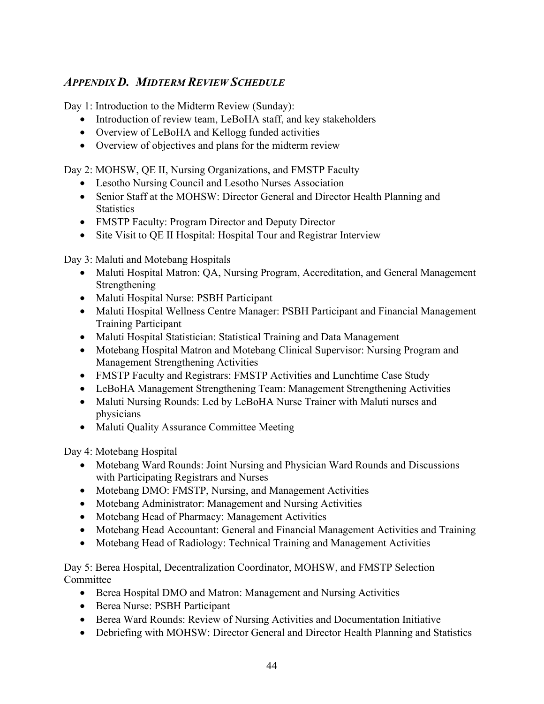### *APPENDIX D. MIDTERM REVIEW SCHEDULE*

Day 1: Introduction to the Midterm Review (Sunday):

- Introduction of review team, LeBoHA staff, and key stakeholders
- Overview of LeBoHA and Kellogg funded activities
- Overview of objectives and plans for the midterm review

Day 2: MOHSW, QE II, Nursing Organizations, and FMSTP Faculty

- Lesotho Nursing Council and Lesotho Nurses Association
- Senior Staff at the MOHSW: Director General and Director Health Planning and **Statistics**
- FMSTP Faculty: Program Director and Deputy Director
- Site Visit to QE II Hospital: Hospital Tour and Registrar Interview

Day 3: Maluti and Motebang Hospitals

- Maluti Hospital Matron: QA, Nursing Program, Accreditation, and General Management Strengthening
- Maluti Hospital Nurse: PSBH Participant
- Maluti Hospital Wellness Centre Manager: PSBH Participant and Financial Management Training Participant
- Maluti Hospital Statistician: Statistical Training and Data Management
- Motebang Hospital Matron and Motebang Clinical Supervisor: Nursing Program and Management Strengthening Activities
- FMSTP Faculty and Registrars: FMSTP Activities and Lunchtime Case Study
- LeBoHA Management Strengthening Team: Management Strengthening Activities
- Maluti Nursing Rounds: Led by LeBoHA Nurse Trainer with Maluti nurses and physicians
- Maluti Quality Assurance Committee Meeting

Day 4: Motebang Hospital

- Motebang Ward Rounds: Joint Nursing and Physician Ward Rounds and Discussions with Participating Registrars and Nurses
- Motebang DMO: FMSTP, Nursing, and Management Activities
- Motebang Administrator: Management and Nursing Activities
- Motebang Head of Pharmacy: Management Activities
- Motebang Head Accountant: General and Financial Management Activities and Training
- Motebang Head of Radiology: Technical Training and Management Activities

Day 5: Berea Hospital, Decentralization Coordinator, MOHSW, and FMSTP Selection **Committee** 

- Berea Hospital DMO and Matron: Management and Nursing Activities
- Berea Nurse: PSBH Participant
- Berea Ward Rounds: Review of Nursing Activities and Documentation Initiative
- Debriefing with MOHSW: Director General and Director Health Planning and Statistics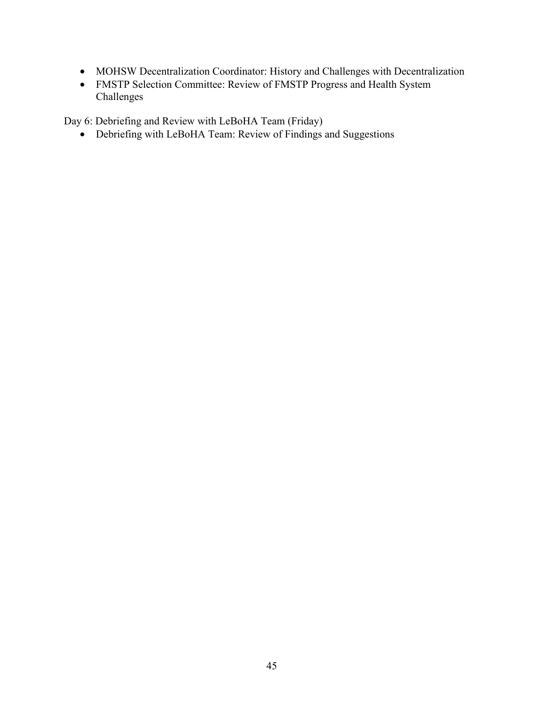- MOHSW Decentralization Coordinator: History and Challenges with Decentralization
- FMSTP Selection Committee: Review of FMSTP Progress and Health System Challenges

Day 6: Debriefing and Review with LeBoHA Team (Friday)

• Debriefing with LeBoHA Team: Review of Findings and Suggestions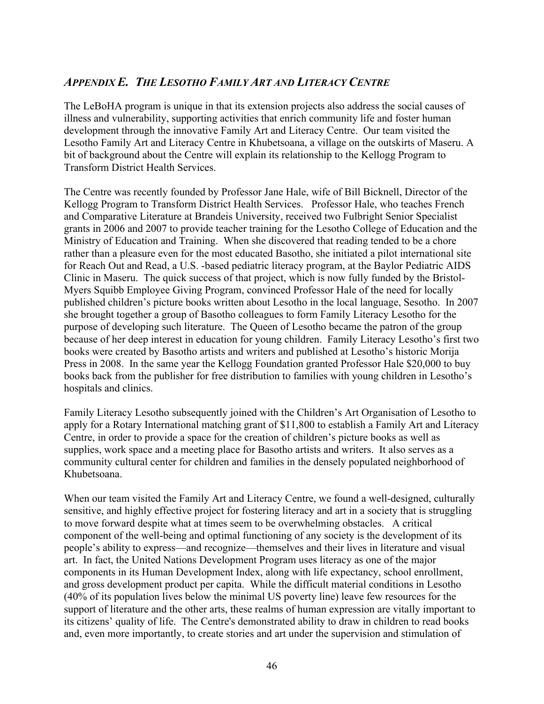#### *APPENDIX E. THE LESOTHO FAMILY ART AND LITERACY CENTRE*

The LeBoHA program is unique in that its extension projects also address the social causes of illness and vulnerability, supporting activities that enrich community life and foster human development through the innovative Family Art and Literacy Centre. Our team visited the Lesotho Family Art and Literacy Centre in Khubetsoana, a village on the outskirts of Maseru. A bit of background about the Centre will explain its relationship to the Kellogg Program to Transform District Health Services.

The Centre was recently founded by Professor Jane Hale, wife of Bill Bicknell, Director of the Kellogg Program to Transform District Health Services. Professor Hale, who teaches French and Comparative Literature at Brandeis University, received two Fulbright Senior Specialist grants in 2006 and 2007 to provide teacher training for the Lesotho College of Education and the Ministry of Education and Training. When she discovered that reading tended to be a chore rather than a pleasure even for the most educated Basotho, she initiated a pilot international site for Reach Out and Read, a U.S. -based pediatric literacy program, at the Baylor Pediatric AIDS Clinic in Maseru. The quick success of that project, which is now fully funded by the Bristol-Myers Squibb Employee Giving Program, convinced Professor Hale of the need for locally published children's picture books written about Lesotho in the local language, Sesotho. In 2007 she brought together a group of Basotho colleagues to form Family Literacy Lesotho for the purpose of developing such literature. The Queen of Lesotho became the patron of the group because of her deep interest in education for young children. Family Literacy Lesotho's first two books were created by Basotho artists and writers and published at Lesotho's historic Morija Press in 2008. In the same year the Kellogg Foundation granted Professor Hale \$20,000 to buy books back from the publisher for free distribution to families with young children in Lesotho's hospitals and clinics.

Family Literacy Lesotho subsequently joined with the Children's Art Organisation of Lesotho to apply for a Rotary International matching grant of \$11,800 to establish a Family Art and Literacy Centre, in order to provide a space for the creation of children's picture books as well as supplies, work space and a meeting place for Basotho artists and writers. It also serves as a community cultural center for children and families in the densely populated neighborhood of Khubetsoana.

When our team visited the Family Art and Literacy Centre, we found a well-designed, culturally sensitive, and highly effective project for fostering literacy and art in a society that is struggling to move forward despite what at times seem to be overwhelming obstacles. A critical component of the well-being and optimal functioning of any society is the development of its people's ability to express—and recognize—themselves and their lives in literature and visual art. In fact, the United Nations Development Program uses literacy as one of the major components in its Human Development Index, along with life expectancy, school enrollment, and gross development product per capita. While the difficult material conditions in Lesotho (40% of its population lives below the minimal US poverty line) leave few resources for the support of literature and the other arts, these realms of human expression are vitally important to its citizens' quality of life. The Centre's demonstrated ability to draw in children to read books and, even more importantly, to create stories and art under the supervision and stimulation of